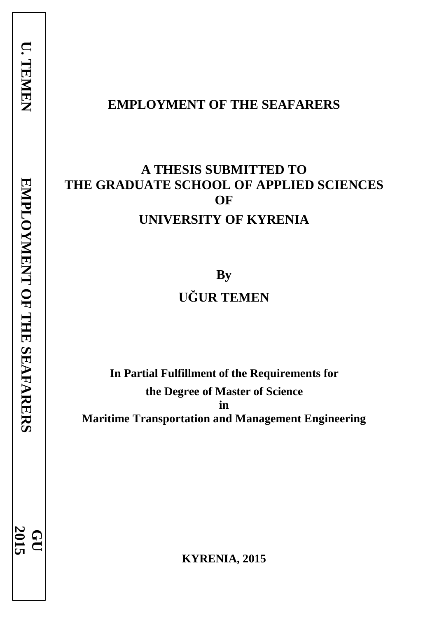**EMPLOYMENT OF THE SEAFARERS** 

EMPLOYMENT OF THE SEAFARERS

**2015 GU**

# **EMPLOYMENT OF THE SEAFARERS**

# **A THESIS SUBMITTED TO THE GRADUATE SCHOOL OF APPLIED SCIENCES OF UNIVERSITY OF KYRENIA**

**By UĞUR TEMEN**

**In Partial Fulfillment of the Requirements for the Degree of Master of Science in Maritime Transportation and Management Engineering**

**KYRENIA, 2015**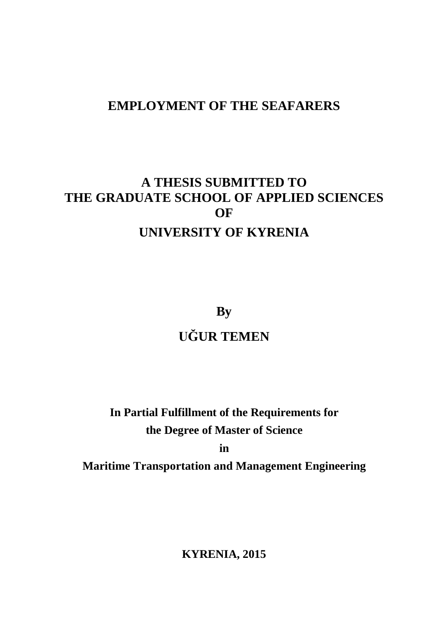# **EMPLOYMENT OF THE SEAFARERS**

# **A THESIS SUBMITTED TO THE GRADUATE SCHOOL OF APPLIED SCIENCES OF UNIVERSITY OF KYRENIA**

**By**

# **UĞUR TEMEN**

**In Partial Fulfillment of the Requirements for the Degree of Master of Science in**

**Maritime Transportation and Management Engineering**

**KYRENIA, 2015**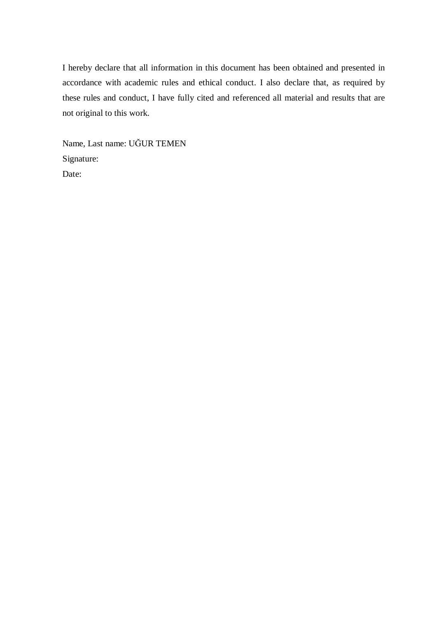I hereby declare that all information in this document has been obtained and presented in accordance with academic rules and ethical conduct. I also declare that, as required by these rules and conduct, I have fully cited and referenced all material and results that are not original to this work.

Name, Last name: UĞUR TEMEN Signature: Date: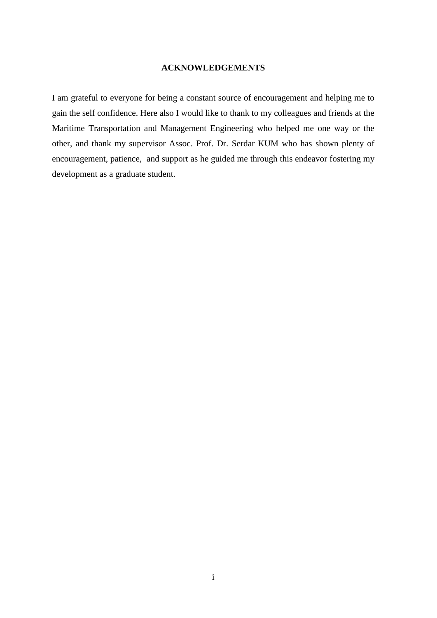## **ACKNOWLEDGEMENTS**

I am grateful to everyone for being a constant source of encouragement and helping me to gain the self confidence. Here also I would like to thank to my colleagues and friends at the Maritime Transportation and Management Engineering who helped me one way or the other, and thank my supervisor Assoc. Prof. Dr. Serdar KUM who has shown plenty of encouragement, patience, and support as he guided me through this endeavor fostering my development as a graduate student.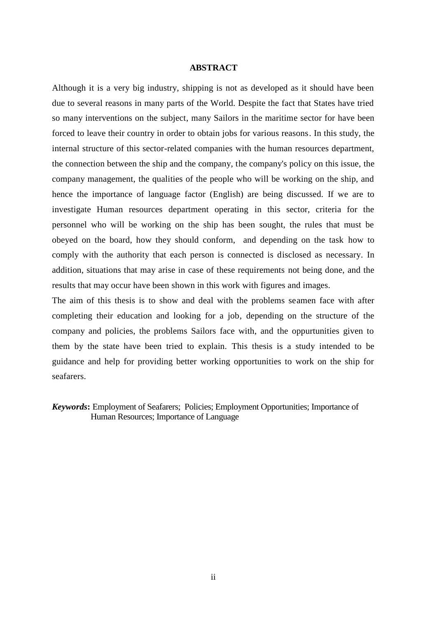### **ABSTRACT**

Although it is a very big industry, shipping is not as developed as it should have been due to several reasons in many parts of the World. Despite the fact that States have tried so many interventions on the subject, many Sailors in the maritime sector for have been forced to leave their country in order to obtain jobs for various reasons. In this study, the internal structure of this sector-related companies with the human resources department, the connection between the ship and the company, the company's policy on this issue, the company management, the qualities of the people who will be working on the ship, and hence the importance of language factor (English) are being discussed. If we are to investigate Human resources department operating in this sector, criteria for the personnel who will be working on the ship has been sought, the rules that must be obeyed on the board, how they should conform, and depending on the task how to comply with the authority that each person is connected is disclosed as necessary. In addition, situations that may arise in case of these requirements not being done, and the results that may occur have been shown in this work with figures and images.

The aim of this thesis is to show and deal with the problems seamen face with after completing their education and looking for a job, depending on the structure of the company and policies, the problems Sailors face with, and the oppurtunities given to them by the state have been tried to explain. This thesis is a study intended to be guidance and help for providing better working opportunities to work on the ship for seafarers.

*Keywords***:** Employment of Seafarers; Policies; Employment Opportunities; Importance of Human Resources; Importance of Language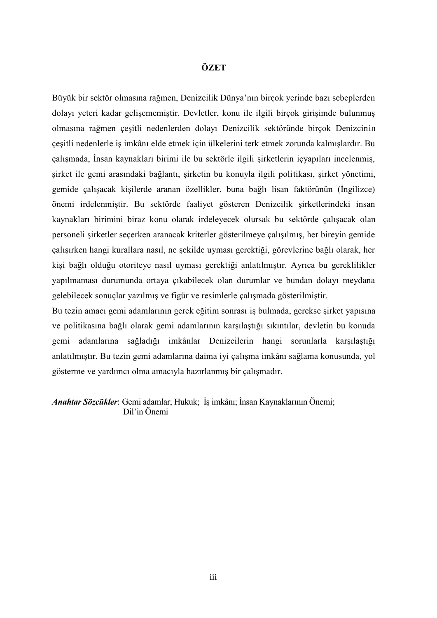# **ÖZET**

Büyük bir sektör olmasına rağmen, Denizcilik Dünya'nın birçok yerinde bazı sebeplerden dolayı yeteri kadar gelişememiştir. Devletler, konu ile ilgili birçok girişimde bulunmuş olmasına rağmen çeşitli nedenlerden dolayı Denizcilik sektöründe birçok Denizcinin çeşitli nedenlerle iş imkânı elde etmek için ülkelerini terk etmek zorunda kalmışlardır. Bu çalışmada, İnsan kaynakları birimi ile bu sektörle ilgili şirketlerin içyapıları incelenmiş, şirket ile gemi arasındaki bağlantı, şirketin bu konuyla ilgili politikası, şirket yönetimi, gemide çalışacak kişilerde aranan özellikler, buna bağlı lisan faktörünün (İngilizce) önemi irdelenmiştir. Bu sektörde faaliyet gösteren Denizcilik şirketlerindeki insan kaynakları birimini biraz konu olarak irdeleyecek olursak bu sektörde çalışacak olan personeli şirketler seçerken aranacak kriterler gösterilmeye çalışılmış, her bireyin gemide çalışırken hangi kurallara nasıl, ne şekilde uyması gerektiği, görevlerine bağlı olarak, her kişi bağlı olduğu otoriteye nasıl uyması gerektiği anlatılmıştır. Ayrıca bu gereklilikler yapılmaması durumunda ortaya çıkabilecek olan durumlar ve bundan dolayı meydana gelebilecek sonuçlar yazılmış ve figür ve resimlerle çalışmada gösterilmiştir.

Bu tezin amacı gemi adamlarının gerek eğitim sonrası iş bulmada, gerekse şirket yapısına ve politikasına bağlı olarak gemi adamlarının karşılaştığı sıkıntılar, devletin bu konuda gemi adamlarına sağladığı imkânlar Denizcilerin hangi sorunlarla karşılaştığı anlatılmıştır. Bu tezin gemi adamlarına daima iyi çalışma imkânı sağlama konusunda, yol gösterme ve yardımcı olma amacıyla hazırlanmış bir çalışmadır.

*Anahtar Sözcükler*: Gemi adamlar; Hukuk; İş imkânı; İnsan Kaynaklarının Önemi; Dil'in Önemi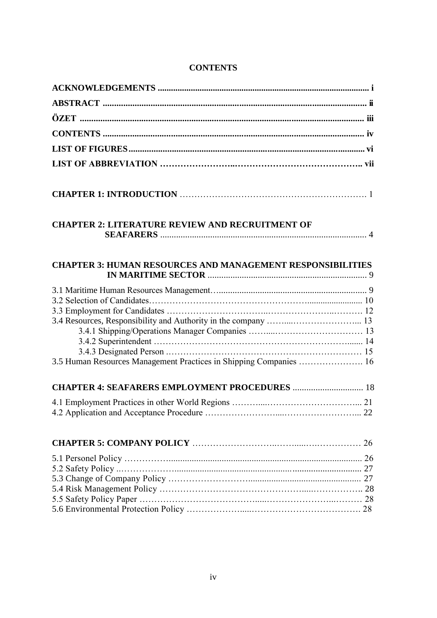# **CONTENTS**

| <b>CHAPTER 2: LITERATURE REVIEW AND RECRUITMENT OF</b>             |  |
|--------------------------------------------------------------------|--|
| <b>CHAPTER 3: HUMAN RESOURCES AND MANAGEMENT RESPONSIBILITIES</b>  |  |
|                                                                    |  |
|                                                                    |  |
|                                                                    |  |
|                                                                    |  |
|                                                                    |  |
|                                                                    |  |
| 3.5 Human Resources Management Practices in Shipping Companies  16 |  |
| <b>CHAPTER 4: SEAFARERS EMPLOYMENT PROCEDURES  18</b>              |  |
|                                                                    |  |
|                                                                    |  |
|                                                                    |  |
|                                                                    |  |
|                                                                    |  |
|                                                                    |  |
|                                                                    |  |
|                                                                    |  |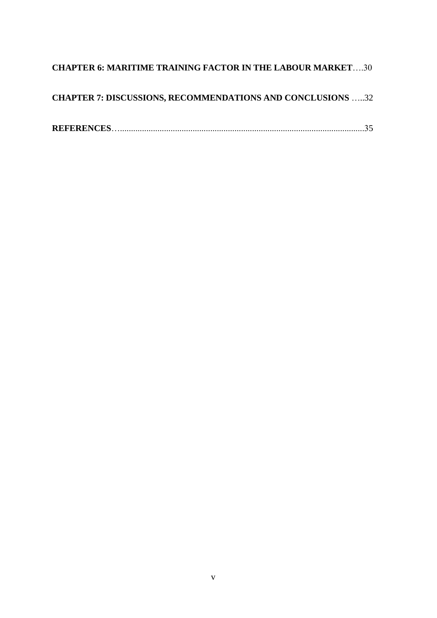# **CHAPTER 6: MARITIME TRAINING FACTOR IN THE LABOUR MARKET**….30

| <b>CHAPTER 7: DISCUSSIONS, RECOMMENDATIONS AND CONCLUSIONS 32</b> |  |  |
|-------------------------------------------------------------------|--|--|
|                                                                   |  |  |

|--|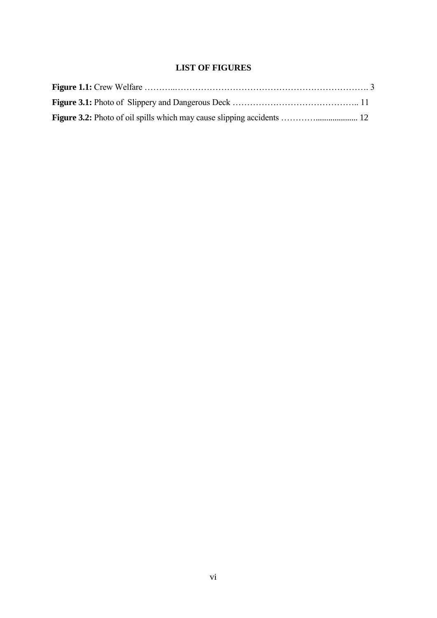# **LIST OF FIGURES**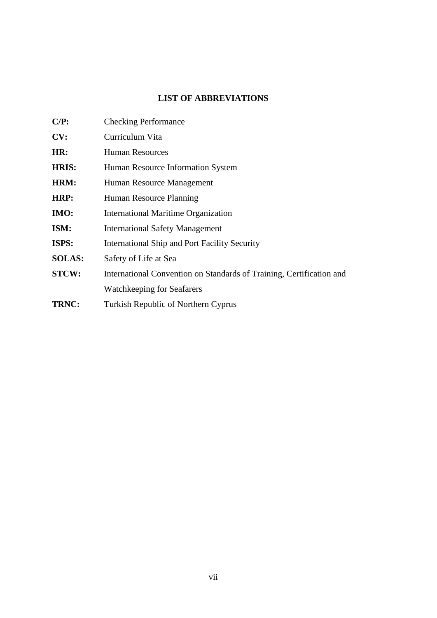# **LIST OF ABBREVIATIONS**

| $C/P$ :       | <b>Checking Performance</b>                                          |
|---------------|----------------------------------------------------------------------|
| CV:           | Curriculum Vita                                                      |
| HR:           | <b>Human Resources</b>                                               |
| <b>HRIS:</b>  | Human Resource Information System                                    |
| HRM:          | Human Resource Management                                            |
| HRP:          | Human Resource Planning                                              |
| <b>IMO:</b>   | <b>International Maritime Organization</b>                           |
| ISM:          | <b>International Safety Management</b>                               |
| ISPS:         | International Ship and Port Facility Security                        |
| <b>SOLAS:</b> | Safety of Life at Sea                                                |
| <b>STCW:</b>  | International Convention on Standards of Training, Certification and |
|               | Watchkeeping for Seafarers                                           |
| TRNC:         | Turkish Republic of Northern Cyprus                                  |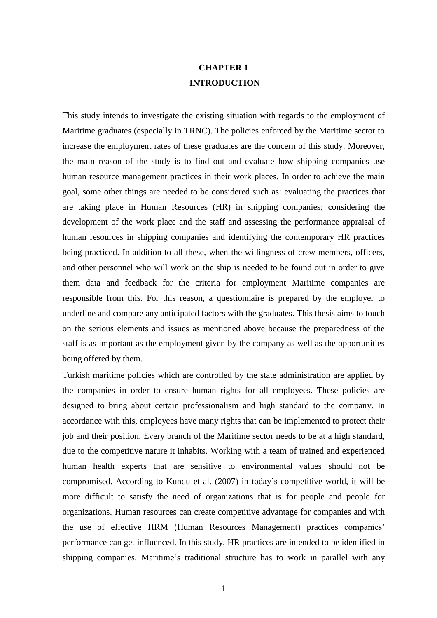# **CHAPTER 1 INTRODUCTION**

This study intends to investigate the existing situation with regards to the employment of Maritime graduates (especially in TRNC). The policies enforced by the Maritime sector to increase the employment rates of these graduates are the concern of this study. Moreover, the main reason of the study is to find out and evaluate how shipping companies use human resource management practices in their work places. In order to achieve the main goal, some other things are needed to be considered such as: evaluating the practices that are taking place in Human Resources (HR) in shipping companies; considering the development of the work place and the staff and assessing the performance appraisal of human resources in shipping companies and identifying the contemporary HR practices being practiced. In addition to all these, when the willingness of crew members, officers, and other personnel who will work on the ship is needed to be found out in order to give them data and feedback for the criteria for employment Maritime companies are responsible from this. For this reason, a questionnaire is prepared by the employer to underline and compare any anticipated factors with the graduates. This thesis aims to touch on the serious elements and issues as mentioned above because the preparedness of the staff is as important as the employment given by the company as well as the opportunities being offered by them.

Turkish maritime policies which are controlled by the state administration are applied by the companies in order to ensure human rights for all employees. These policies are designed to bring about certain professionalism and high standard to the company. In accordance with this, employees have many rights that can be implemented to protect their job and their position. Every branch of the Maritime sector needs to be at a high standard, due to the competitive nature it inhabits. Working with a team of trained and experienced human health experts that are sensitive to environmental values should not be compromised. According to Kundu et al. (2007) in today's competitive world, it will be more difficult to satisfy the need of organizations that is for people and people for organizations. Human resources can create competitive advantage for companies and with the use of effective HRM (Human Resources Management) practices companies' performance can get influenced. In this study, HR practices are intended to be identified in shipping companies. Maritime's traditional structure has to work in parallel with any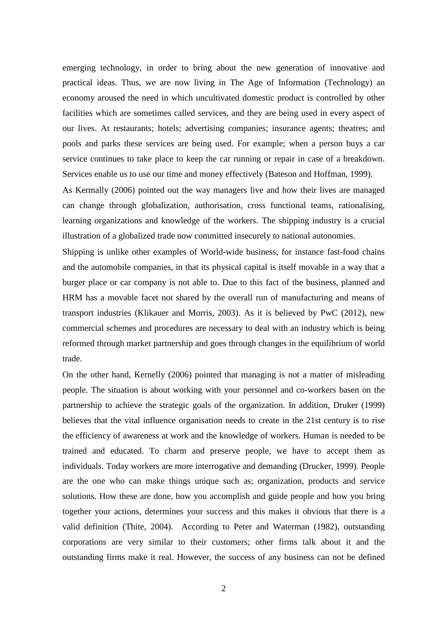emerging technology, in order to bring about the new generation of innovative and practical ideas. Thus, we are now living in The Age of Information (Technology) an economy aroused the need in which uncultivated domestic product is controlled by other facilities which are sometimes called services, and they are being used in every aspect of our lives. At restaurants; hotels; advertising companies; insurance agents; theatres; and pools and parks these services are being used. For example; when a person buys a car service continues to take place to keep the car running or repair in case of a breakdown. Services enable us to use our time and money effectively (Bateson and Hoffman, 1999).

As Kermally (2006) pointed out the way managers live and how their lives are managed can change through globalization, authorisation, cross functional teams, rationalising, learning organizations and knowledge of the workers. The shipping industry is a crucial illustration of a globalized trade now committed insecurely to national autonomies.

Shipping is unlike other examples of World-wide business, for instance fast-food chains and the automobile companies, in that its physical capital is itself movable in a way that a burger place or car company is not able to. Due to this fact of the business, planned and HRM has a movable facet not shared by the overall run of manufacturing and means of transport industries (Klikauer and Morris, 2003). As it is believed by PwC (2012), new commercial schemes and procedures are necessary to deal with an industry which is being reformed through market partnership and goes through changes in the equilibrium of world trade.

On the other hand, Kernelly (2006) pointed that managing is not a matter of misleading people. The situation is about working with your personnel and co-workers basen on the partnership to achieve the strategic goals of the organization. In addition, Druker (1999) believes that the vital influence organisation needs to create in the 21st century is to rise the efficiency of awareness at work and the knowledge of workers. Human is needed to be trained and educated. To charm and preserve people, we have to accept them as individuals. Today workers are more interrogative and demanding (Drucker, 1999). People are the one who can make things unique such as; organization, products and service solutions. How these are done, how you accomplish and guide people and how you bring together your actions, determines your success and this makes it obvious that there is a valid definition (Thite, 2004). According to Peter and Waterman (1982), outstanding corporations are very similar to their customers; other firms talk about it and the outstanding firms make it real. However, the success of any business can not be defined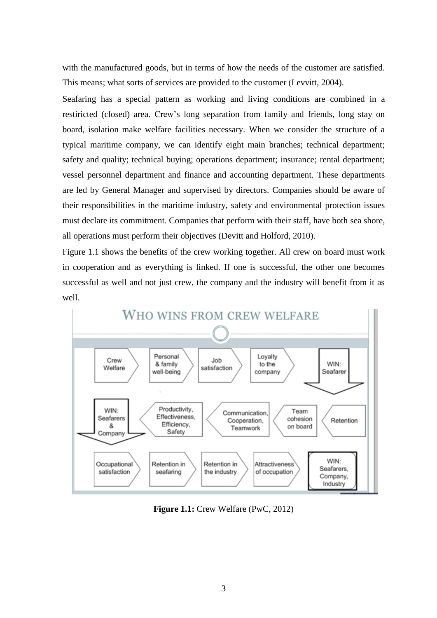with the manufactured goods, but in terms of how the needs of the customer are satisfied. This means; what sorts of services are provided to the customer (Levvitt, 2004).

Seafaring has a special pattern as working and living conditions are combined in a restiricted (closed) area. Crew's long separation from family and friends, long stay on board, isolation make welfare facilities necessary. When we consider the structure of a typical maritime company, we can identify eight main branches; technical department; safety and quality; technical buying; operations department; insurance; rental department; vessel personnel department and finance and accounting department. These departments are led by General Manager and supervised by directors. Companies should be aware of their responsibilities in the maritime industry, safety and environmental protection issues must declare its commitment. Companies that perform with their staff, have both sea shore, all operations must perform their objectives (Devitt and Holford, 2010).

Figure 1.1 shows the benefits of the crew working together. All crew on board must work in cooperation and as everything is linked. If one is successful, the other one becomes successful as well and not just crew, the company and the industry will benefit from it as well.



**Figure 1.1:** Crew Welfare (PwC, 2012)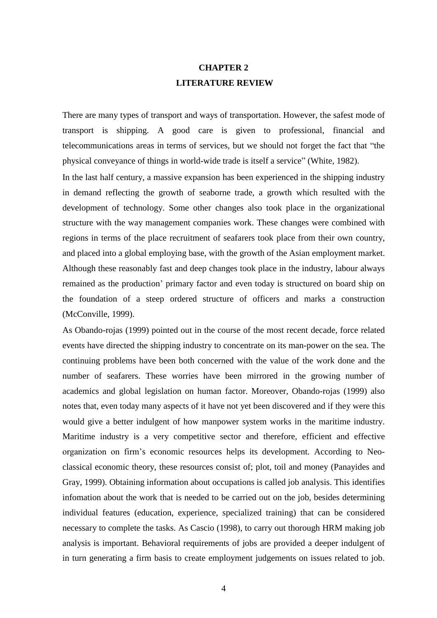# **CHAPTER 2 LITERATURE REVIEW**

There are many types of transport and ways of transportation. However, the safest mode of transport is shipping. A good care is given to professional, financial and telecommunications areas in terms of services, but we should not forget the fact that "the physical conveyance of things in world-wide trade is itself a service" (White, 1982).

In the last half century, a massive expansion has been experienced in the shipping industry in demand reflecting the growth of seaborne trade, a growth which resulted with the development of technology. Some other changes also took place in the organizational structure with the way management companies work. These changes were combined with regions in terms of the place recruitment of seafarers took place from their own country, and placed into a global employing base, with the growth of the Asian employment market. Although these reasonably fast and deep changes took place in the industry, labour always remained as the production' primary factor and even today is structured on board ship on the foundation of a steep ordered structure of officers and marks a construction (McConville, 1999).

As Obando-rojas (1999) pointed out in the course of the most recent decade, force related events have directed the shipping industry to concentrate on its man-power on the sea. The continuing problems have been both concerned with the value of the work done and the number of seafarers. These worries have been mirrored in the growing number of academics and global legislation on human factor. Moreover, Obando-rojas (1999) also notes that, even today many aspects of it have not yet been discovered and if they were this would give a better indulgent of how manpower system works in the maritime industry. Maritime industry is a very competitive sector and therefore, efficient and effective organization on firm's economic resources helps its development. According to Neoclassical economic theory, these resources consist of; plot, toil and money (Panayides and Gray, 1999). Obtaining information about occupations is called job analysis. This identifies infomation about the work that is needed to be carried out on the job, besides determining individual features (education, experience, specialized training) that can be considered necessary to complete the tasks. As Cascio (1998), to carry out thorough HRM making job analysis is important. Behavioral requirements of jobs are provided a deeper indulgent of in turn generating a firm basis to create employment judgements on issues related to job.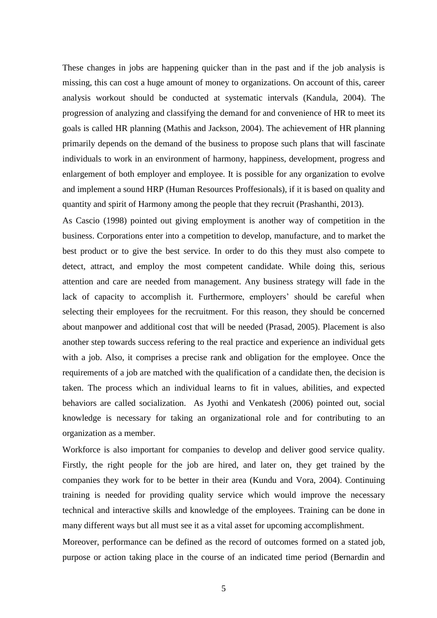These changes in jobs are happening quicker than in the past and if the job analysis is missing, this can cost a huge amount of money to organizations. On account of this, career analysis workout should be conducted at systematic intervals (Kandula, 2004). The progression of analyzing and classifying the demand for and convenience of HR to meet its goals is called HR planning (Mathis and Jackson, 2004). The achievement of HR planning primarily depends on the demand of the business to propose such plans that will fascinate individuals to work in an environment of harmony, happiness, development, progress and enlargement of both employer and employee. It is possible for any organization to evolve and implement a sound HRP (Human Resources Proffesionals), if it is based on quality and quantity and spirit of Harmony among the people that they recruit (Prashanthi, 2013).

As Cascio (1998) pointed out giving employment is another way of competition in the business. Corporations enter into a competition to develop, manufacture, and to market the best product or to give the best service. In order to do this they must also compete to detect, attract, and employ the most competent candidate. While doing this, serious attention and care are needed from management. Any business strategy will fade in the lack of capacity to accomplish it. Furthermore, employers' should be careful when selecting their employees for the recruitment. For this reason, they should be concerned about manpower and additional cost that will be needed (Prasad, 2005). Placement is also another step towards success refering to the real practice and experience an individual gets with a job. Also, it comprises a precise rank and obligation for the employee. Once the requirements of a job are matched with the qualification of a candidate then, the decision is taken. The process which an individual learns to fit in values, abilities, and expected behaviors are called socialization. As Jyothi and Venkatesh (2006) pointed out, social knowledge is necessary for taking an organizational role and for contributing to an organization as a member.

Workforce is also important for companies to develop and deliver good service quality. Firstly, the right people for the job are hired, and later on, they get trained by the companies they work for to be better in their area (Kundu and Vora, 2004). Continuing training is needed for providing quality service which would improve the necessary technical and interactive skills and knowledge of the employees. Training can be done in many different ways but all must see it as a vital asset for upcoming accomplishment.

Moreover, performance can be defined as the record of outcomes formed on a stated job, purpose or action taking place in the course of an indicated time period (Bernardin and

5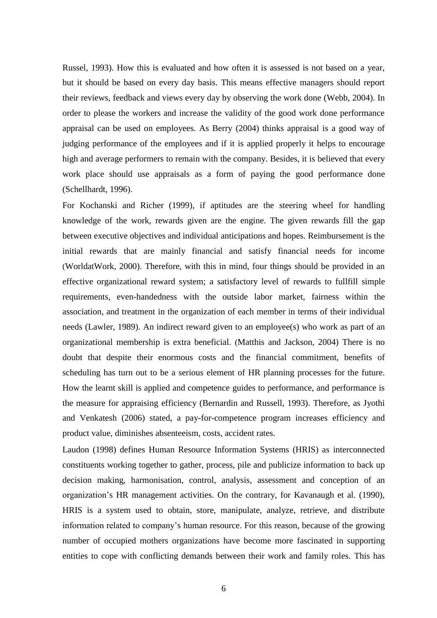Russel, 1993). How this is evaluated and how often it is assessed is not based on a year, but it should be based on every day basis. This means effective managers should report their reviews, feedback and views every day by observing the work done (Webb, 2004). In order to please the workers and increase the validity of the good work done performance appraisal can be used on employees. As Berry (2004) thinks appraisal is a good way of judging performance of the employees and if it is applied properly it helps to encourage high and average performers to remain with the company. Besides, it is believed that every work place should use appraisals as a form of paying the good performance done (Schellhardt, 1996).

For Kochanski and Richer (1999), if aptitudes are the steering wheel for handling knowledge of the work, rewards given are the engine. The given rewards fill the gap between executive objectives and individual anticipations and hopes. Reimbursement is the initial rewards that are mainly financial and satisfy financial needs for income (WorldatWork, 2000). Therefore, with this in mind, four things should be provided in an effective organizational reward system; a satisfactory level of rewards to fullfill simple requirements, even-handedness with the outside labor market, fairness within the association, and treatment in the organization of each member in terms of their individual needs (Lawler, 1989). An indirect reward given to an employee(s) who work as part of an organizational membership is extra beneficial. (Matthis and Jackson, 2004) There is no doubt that despite their enormous costs and the financial commitment, benefits of scheduling has turn out to be a serious element of HR planning processes for the future. How the learnt skill is applied and competence guides to performance, and performance is the measure for appraising efficiency (Bernardin and Russell, 1993). Therefore, as Jyothi and Venkatesh (2006) stated, a pay-for-competence program increases efficiency and product value, diminishes absenteeism, costs, accident rates.

Laudon (1998) defines Human Resource Information Systems (HRIS) as interconnected constituents working together to gather, process, pile and publicize information to back up decision making, harmonisation, control, analysis, assessment and conception of an organization's HR management activities. On the contrary, for Kavanaugh et al. (1990), HRIS is a system used to obtain, store, manipulate, analyze, retrieve, and distribute information related to company's human resource. For this reason, because of the growing number of occupied mothers organizations have become more fascinated in supporting entities to cope with conflicting demands between their work and family roles. This has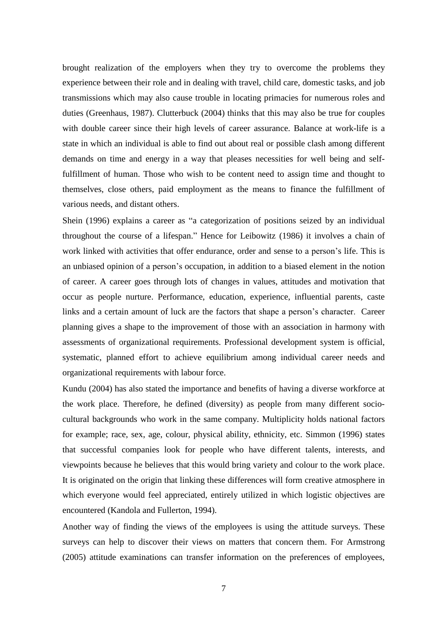brought realization of the employers when they try to overcome the problems they experience between their role and in dealing with travel, child care, domestic tasks, and job transmissions which may also cause trouble in locating primacies for numerous roles and duties (Greenhaus, 1987). Clutterbuck (2004) thinks that this may also be true for couples with double career since their high levels of career assurance. Balance at work-life is a state in which an individual is able to find out about real or possible clash among different demands on time and energy in a way that pleases necessities for well being and selffulfillment of human. Those who wish to be content need to assign time and thought to themselves, close others, paid employment as the means to finance the fulfillment of various needs, and distant others.

Shein (1996) explains a career as "a categorization of positions seized by an individual throughout the course of a lifespan." Hence for Leibowitz (1986) it involves a chain of work linked with activities that offer endurance, order and sense to a person's life. This is an unbiased opinion of a person's occupation, in addition to a biased element in the notion of career. A career goes through lots of changes in values, attitudes and motivation that occur as people nurture. Performance, education, experience, influential parents, caste links and a certain amount of luck are the factors that shape a person's character. Career planning gives a shape to the improvement of those with an association in harmony with assessments of organizational requirements. Professional development system is official, systematic, planned effort to achieve equilibrium among individual career needs and organizational requirements with labour force.

Kundu (2004) has also stated the importance and benefits of having a diverse workforce at the work place. Therefore, he defined (diversity) as people from many different sociocultural backgrounds who work in the same company. Multiplicity holds national factors for example; race, sex, age, colour, physical ability, ethnicity, etc. Simmon (1996) states that successful companies look for people who have different talents, interests, and viewpoints because he believes that this would bring variety and colour to the work place. It is originated on the origin that linking these differences will form creative atmosphere in which everyone would feel appreciated, entirely utilized in which logistic objectives are encountered (Kandola and Fullerton, 1994).

Another way of finding the views of the employees is using the attitude surveys. These surveys can help to discover their views on matters that concern them. For Armstrong (2005) attitude examinations can transfer information on the preferences of employees,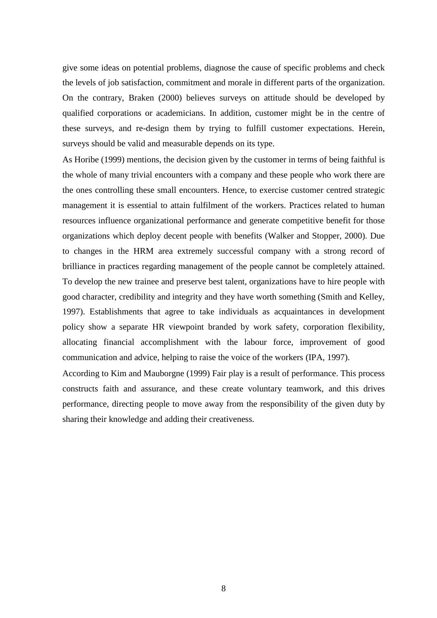give some ideas on potential problems, diagnose the cause of specific problems and check the levels of job satisfaction, commitment and morale in different parts of the organization. On the contrary, Braken (2000) believes surveys on attitude should be developed by qualified corporations or academicians. In addition, customer might be in the centre of these surveys, and re-design them by trying to fulfill customer expectations. Herein, surveys should be valid and measurable depends on its type.

As Horibe (1999) mentions, the decision given by the customer in terms of being faithful is the whole of many trivial encounters with a company and these people who work there are the ones controlling these small encounters. Hence, to exercise customer centred strategic management it is essential to attain fulfilment of the workers. Practices related to human resources influence organizational performance and generate competitive benefit for those organizations which deploy decent people with benefits (Walker and Stopper, 2000). Due to changes in the HRM area extremely successful company with a strong record of brilliance in practices regarding management of the people cannot be completely attained. To develop the new trainee and preserve best talent, organizations have to hire people with good character, credibility and integrity and they have worth something (Smith and Kelley, 1997). Establishments that agree to take individuals as acquaintances in development policy show a separate HR viewpoint branded by work safety, corporation flexibility, allocating financial accomplishment with the labour force, improvement of good communication and advice, helping to raise the voice of the workers (IPA, 1997).

According to Kim and Mauborgne (1999) Fair play is a result of performance. This process constructs faith and assurance, and these create voluntary teamwork, and this drives performance, directing people to move away from the responsibility of the given duty by sharing their knowledge and adding their creativeness.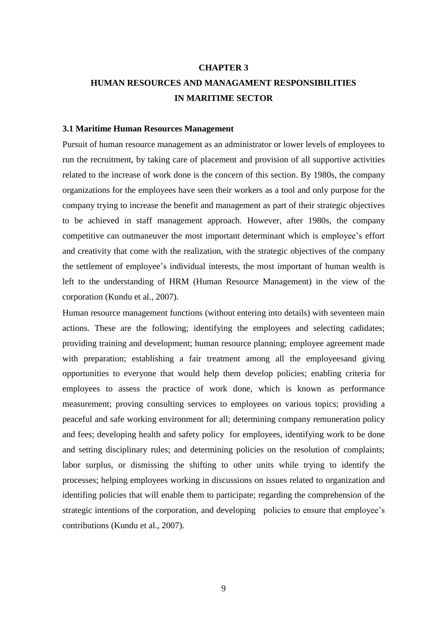#### **CHAPTER 3**

# **HUMAN RESOURCES AND MANAGAMENT RESPONSIBILITIES IN MARITIME SECTOR**

#### **3.1 Maritime Human Resources Management**

Pursuit of human resource management as an administrator or lower levels of employees to run the recruitment, by taking care of placement and provision of all supportive activities related to the increase of work done is the concern of this section. By 1980s, the company organizations for the employees have seen their workers as a tool and only purpose for the company trying to increase the benefit and management as part of their strategic objectives to be achieved in staff management approach. However, after 1980s, the company competitive can outmaneuver the most important determinant which is employee's effort and creativity that come with the realization, with the strategic objectives of the company the settlement of employee's individual interests, the most important of human wealth is left to the understanding of HRM (Human Resource Management) in the view of the corporation (Kundu et al., 2007).

Human resource management functions (without entering into details) with seventeen main actions. These are the following; identifying the employees and selecting cadidates; providing training and development; human resource planning; employee agreement made with preparation; establishing a fair treatment among all the employees and giving opportunities to everyone that would help them develop policies; enabling criteria for employees to assess the practice of work done, which is known as performance measurement; proving consulting services to employees on various topics; providing a peaceful and safe working environment for all; determining company remuneration policy and fees; developing health and safety policy for employees, identifying work to be done and setting disciplinary rules; and determining policies on the resolution of complaints; labor surplus, or dismissing the shifting to other units while trying to identify the processes; helping employees working in discussions on issues related to organization and identifing policies that will enable them to participate; regarding the comprehension of the strategic intentions of the corporation, and developing policies to ensure that employee's contributions (Kundu et al., 2007).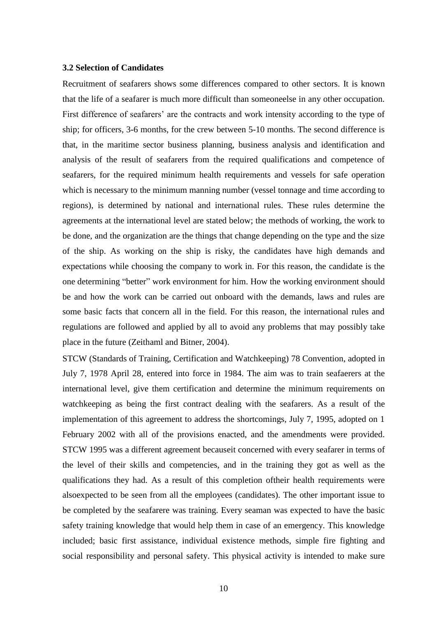#### **3.2 Selection of Candidates**

Recruitment of seafarers shows some differences compared to other sectors. It is known that the life of a seafarer is much more difficult than someoneelse in any other occupation. First difference of seafarers' are the contracts and work intensity according to the type of ship; for officers, 3-6 months, for the crew between 5-10 months. The second difference is that, in the maritime sector business planning, business analysis and identification and analysis of the result of seafarers from the required qualifications and competence of seafarers, for the required minimum health requirements and vessels for safe operation which is necessary to the minimum manning number (vessel tonnage and time according to regions), is determined by national and international rules. These rules determine the agreements at the international level are stated below; the methods of working, the work to be done, and the organization are the things that change depending on the type and the size of the ship. As working on the ship is risky, the candidates have high demands and expectations while choosing the company to work in. For this reason, the candidate is the one determining "better" work environment for him. How the working environment should be and how the work can be carried out onboard with the demands, laws and rules are some basic facts that concern all in the field. For this reason, the international rules and regulations are followed and applied by all to avoid any problems that may possibly take place in the future (Zeithaml and Bitner, 2004).

STCW (Standards of Training, Certification and Watchkeeping) 78 Convention, adopted in July 7, 1978 April 28, entered into force in 1984. The aim was to train seafaerers at the international level, give them certification and determine the minimum requirements on watchkeeping as being the first contract dealing with the seafarers. As a result of the implementation of this agreement to address the shortcomings, July 7, 1995, adopted on 1 February 2002 with all of the provisions enacted, and the amendments were provided. STCW 1995 was a different agreement becauseit concerned with every seafarer in terms of the level of their skills and competencies, and in the training they got as well as the qualifications they had. As a result of this completion oftheir health requirements were alsoexpected to be seen from all the employees (candidates). The other important issue to be completed by the seafarere was training. Every seaman was expected to have the basic safety training knowledge that would help them in case of an emergency. This knowledge included; basic first assistance, individual existence methods, simple fire fighting and social responsibility and personal safety. This physical activity is intended to make sure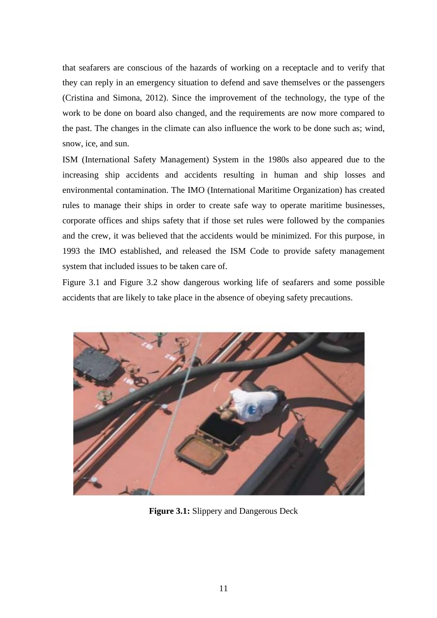that seafarers are conscious of the hazards of working on a receptacle and to verify that they can reply in an emergency situation to defend and save themselves or the passengers (Cristina and Simona, 2012). Since the improvement of the technology, the type of the work to be done on board also changed, and the requirements are now more compared to the past. The changes in the climate can also influence the work to be done such as; wind, snow, ice, and sun.

ISM (International Safety Management) System in the 1980s also appeared due to the increasing ship accidents and accidents resulting in human and ship losses and environmental contamination. The IMO (International Maritime Organization) has created rules to manage their ships in order to create safe way to operate maritime businesses, corporate offices and ships safety that if those set rules were followed by the companies and the crew, it was believed that the accidents would be minimized. For this purpose, in 1993 the IMO established, and released the ISM Code to provide safety management system that included issues to be taken care of.

Figure 3.1 and Figure 3.2 show dangerous working life of seafarers and some possible accidents that are likely to take place in the absence of obeying safety precautions.



**Figure 3.1:** Slippery and Dangerous Deck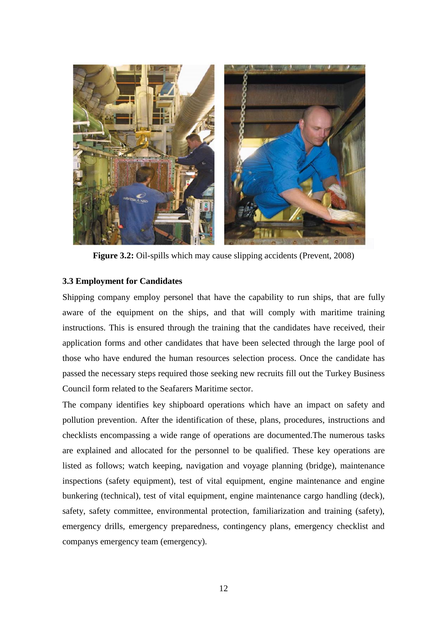

**Figure 3.2:** Oil-spills which may cause slipping accidents (Prevent, 2008)

# **3.3 Employment for Candidates**

Shipping company employ personel that have the capability to run ships, that are fully aware of the equipment on the ships, and that will comply with maritime training instructions. This is ensured through the training that the candidates have received, their application forms and other candidates that have been selected through the large pool of those who have endured the human resources selection process. Once the candidate has passed the necessary steps required those seeking new recruits fill out the Turkey Business Council form related to the Seafarers Maritime sector.

The company identifies key shipboard operations which have an impact on safety and pollution prevention. After the identification of these, plans, procedures, instructions and checklists encompassing a wide range of operations are documented.The numerous tasks are explained and allocated for the personnel to be qualified. These key operations are listed as follows; watch keeping, navigation and voyage planning (bridge), maintenance inspections (safety equipment), test of vital equipment, engine maintenance and engine bunkering (technical), test of vital equipment, engine maintenance cargo handling (deck), safety, safety committee, environmental protection, familiarization and training (safety), emergency drills, emergency preparedness, contingency plans, emergency checklist and companys emergency team (emergency).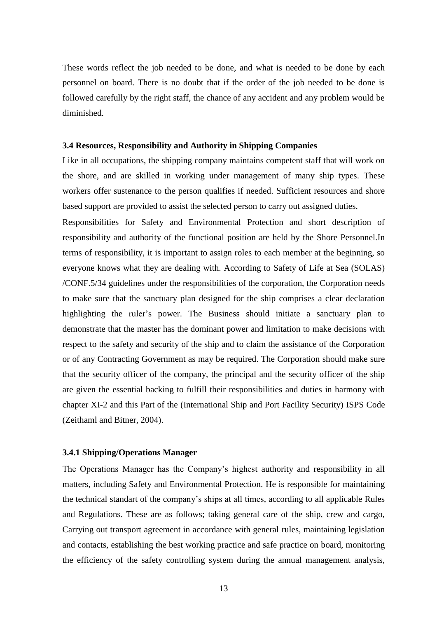These words reflect the job needed to be done, and what is needed to be done by each personnel on board. There is no doubt that if the order of the job needed to be done is followed carefully by the right staff, the chance of any accident and any problem would be diminished.

## **3.4 Resources, Responsibility and Authority in Shipping Companies**

Like in all occupations, the shipping company maintains competent staff that will work on the shore, and are skilled in working under management of many ship types. These workers offer sustenance to the person qualifies if needed. Sufficient resources and shore based support are provided to assist the selected person to carry out assigned duties.

Responsibilities for Safety and Environmental Protection and short description of responsibility and authority of the functional position are held by the Shore Personnel.In terms of responsibility, it is important to assign roles to each member at the beginning, so everyone knows what they are dealing with. According to Safety of Life at Sea (SOLAS) /CONF.5/34 guidelines under the responsibilities of the corporation, the Corporation needs to make sure that the sanctuary plan designed for the ship comprises a clear declaration highlighting the ruler's power. The Business should initiate a sanctuary plan to demonstrate that the master has the dominant power and limitation to make decisions with respect to the safety and security of the ship and to claim the assistance of the Corporation or of any Contracting Government as may be required. The Corporation should make sure that the security officer of the company, the principal and the security officer of the ship are given the essential backing to fulfill their responsibilities and duties in harmony with chapter XI-2 and this Part of the (International Ship and Port Facility Security) ISPS Code (Zeithaml and Bitner, 2004).

## **3.4.1 Shipping/Operations Manager**

The Operations Manager has the Company's highest authority and responsibility in all matters, including Safety and Environmental Protection. He is responsible for maintaining the technical standart of the company's ships at all times, according to all applicable Rules and Regulations. These are as follows; taking general care of the ship, crew and cargo, Carrying out transport agreement in accordance with general rules, maintaining legislation and contacts, establishing the best working practice and safe practice on board, monitoring the efficiency of the safety controlling system during the annual management analysis,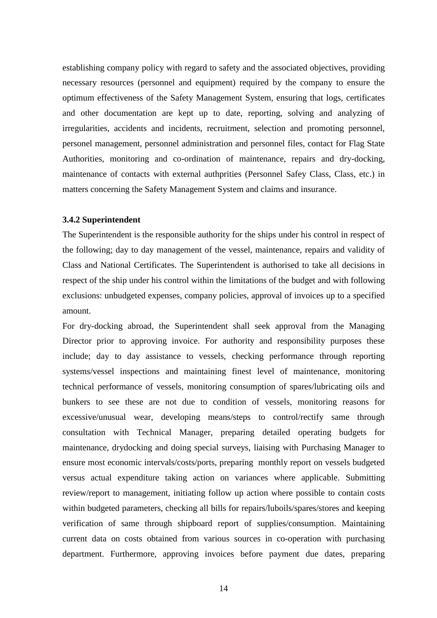establishing company policy with regard to safety and the associated objectives, providing necessary resources (personnel and equipment) required by the company to ensure the optimum effectiveness of the Safety Management System, ensuring that logs, certificates and other documentation are kept up to date, reporting, solving and analyzing of irregularities, accidents and incidents, recruitment, selection and promoting personnel, personel management, personnel administration and personnel files, contact for Flag State Authorities, monitoring and co-ordination of maintenance, repairs and dry-docking, maintenance of contacts with external authprities (Personnel Safey Class, Class, etc.) in matters concerning the Safety Management System and claims and insurance.

#### **3.4.2 Superintendent**

The Superintendent is the responsible authority for the ships under his control in respect of the following; day to day management of the vessel, maintenance, repairs and validity of Class and National Certificates. The Superintendent is authorised to take all decisions in respect of the ship under his control within the limitations of the budget and with following exclusions: unbudgeted expenses, company policies, approval of invoices up to a specified amount.

For dry-docking abroad, the Superintendent shall seek approval from the Managing Director prior to approving invoice. For authority and responsibility purposes these include; day to day assistance to vessels, checking performance through reporting systems/vessel inspections and maintaining finest level of maintenance, monitoring technical performance of vessels, monitoring consumption of spares/lubricating oils and bunkers to see these are not due to condition of vessels, monitoring reasons for excessive/unusual wear, developing means/steps to control/rectify same through consultation with Technical Manager, preparing detailed operating budgets for maintenance, drydocking and doing special surveys, liaising with Purchasing Manager to ensure most economic intervals/costs/ports, preparing monthly report on vessels budgeted versus actual expenditure taking action on variances where applicable. Submitting review/report to management, initiating follow up action where possible to contain costs within budgeted parameters, checking all bills for repairs/luboils/spares/stores and keeping verification of same through shipboard report of supplies/consumption. Maintaining current data on costs obtained from various sources in co-operation with purchasing department. Furthermore, approving invoices before payment due dates, preparing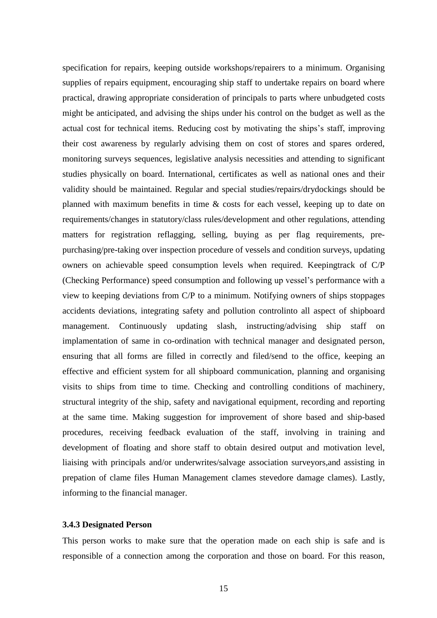specification for repairs, keeping outside workshops/repairers to a minimum. Organising supplies of repairs equipment, encouraging ship staff to undertake repairs on board where practical, drawing appropriate consideration of principals to parts where unbudgeted costs might be anticipated, and advising the ships under his control on the budget as well as the actual cost for technical items. Reducing cost by motivating the ships's staff, improving their cost awareness by regularly advising them on cost of stores and spares ordered, monitoring surveys sequences, legislative analysis necessities and attending to significant studies physically on board. International, certificates as well as national ones and their validity should be maintained. Regular and special studies/repairs/drydockings should be planned with maximum benefits in time & costs for each vessel, keeping up to date on requirements/changes in statutory/class rules/development and other regulations, attending matters for registration reflagging, selling, buying as per flag requirements, prepurchasing/pre-taking over inspection procedure of vessels and condition surveys, updating owners on achievable speed consumption levels when required. Keepingtrack of C/P (Checking Performance) speed consumption and following up vessel's performance with a view to keeping deviations from C/P to a minimum. Notifying owners of ships stoppages accidents deviations, integrating safety and pollution controlinto all aspect of shipboard management. Continuously updating slash, instructing/advising ship staff on implamentation of same in co-ordination with technical manager and designated person, ensuring that all forms are filled in correctly and filed/send to the office, keeping an effective and efficient system for all shipboard communication, planning and organising visits to ships from time to time. Checking and controlling conditions of machinery, structural integrity of the ship, safety and navigational equipment, recording and reporting at the same time. Making suggestion for improvement of shore based and ship-based procedures, receiving feedback evaluation of the staff, involving in training and development of floating and shore staff to obtain desired output and motivation level, liaising with principals and/or underwrites/salvage association surveyors,and assisting in prepation of clame files Human Management clames stevedore damage clames). Lastly, informing to the financial manager.

## **3.4.3 Designated Person**

This person works to make sure that the operation made on each ship is safe and is responsible of a connection among the corporation and those on board. For this reason,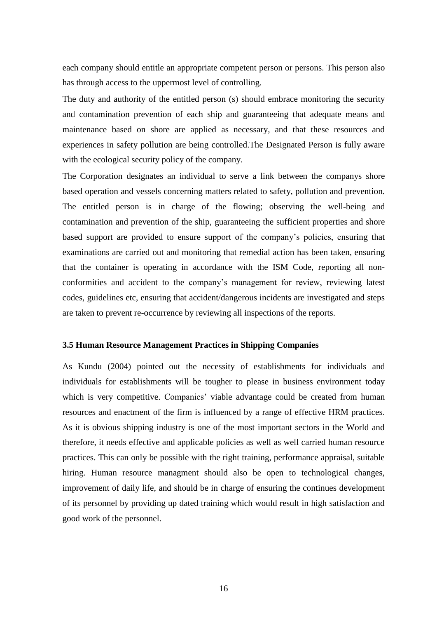each company should entitle an appropriate competent person or persons. This person also has through access to the uppermost level of controlling.

The duty and authority of the entitled person (s) should embrace monitoring the security and contamination prevention of each ship and guaranteeing that adequate means and maintenance based on shore are applied as necessary, and that these resources and experiences in safety pollution are being controlled.The Designated Person is fully aware with the ecological security policy of the company.

The Corporation designates an individual to serve a link between the companys shore based operation and vessels concerning matters related to safety, pollution and prevention. The entitled person is in charge of the flowing; observing the well-being and contamination and prevention of the ship, guaranteeing the sufficient properties and shore based support are provided to ensure support of the company's policies, ensuring that examinations are carried out and monitoring that remedial action has been taken, ensuring that the container is operating in accordance with the ISM Code, reporting all nonconformities and accident to the company's management for review, reviewing latest codes, guidelines etc, ensuring that accident/dangerous incidents are investigated and steps are taken to prevent re-occurrence by reviewing all inspections of the reports.

### **3.5 Human Resource Management Practices in Shipping Companies**

As Kundu (2004) pointed out the necessity of establishments for individuals and individuals for establishments will be tougher to please in business environment today which is very competitive. Companies' viable advantage could be created from human resources and enactment of the firm is influenced by a range of effective HRM practices. As it is obvious shipping industry is one of the most important sectors in the World and therefore, it needs effective and applicable policies as well as well carried human resource practices. This can only be possible with the right training, performance appraisal, suitable hiring. Human resource managment should also be open to technological changes, improvement of daily life, and should be in charge of ensuring the continues development of its personnel by providing up dated training which would result in high satisfaction and good work of the personnel.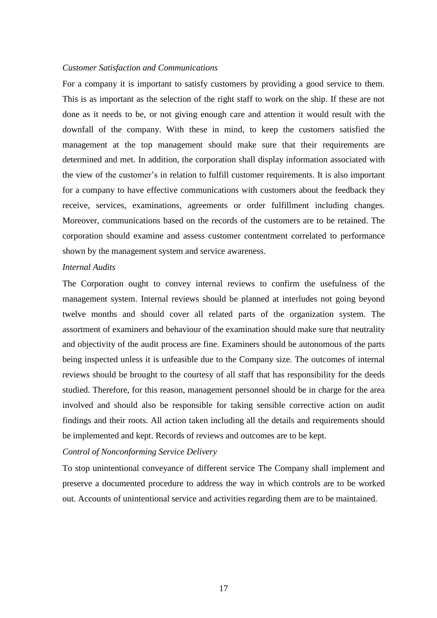### *Customer Satisfaction and Communications*

For a company it is important to satisfy customers by providing a good service to them. This is as important as the selection of the right staff to work on the ship. If these are not done as it needs to be, or not giving enough care and attention it would result with the downfall of the company. With these in mind, to keep the customers satisfied the management at the top management should make sure that their requirements are determined and met. In addition, the corporation shall display information associated with the view of the customer's in relation to fulfill customer requirements. It is also important for a company to have effective communications with customers about the feedback they receive, services, examinations, agreements or order fulfillment including changes. Moreover, communications based on the records of the customers are to be retained. The corporation should examine and assess customer contentment correlated to performance shown by the management system and service awareness.

#### *Internal Audits*

The Corporation ought to convey internal reviews to confirm the usefulness of the management system. Internal reviews should be planned at interludes not going beyond twelve months and should cover all related parts of the organization system. The assortment of examiners and behaviour of the examination should make sure that neutrality and objectivity of the audit process are fine. Examiners should be autonomous of the parts being inspected unless it is unfeasible due to the Company size. The outcomes of internal reviews should be brought to the courtesy of all staff that has responsibility for the deeds studied. Therefore, for this reason, management personnel should be in charge for the area involved and should also be responsible for taking sensible corrective action on audit findings and their roots. All action taken including all the details and requirements should be implemented and kept. Records of reviews and outcomes are to be kept.

## *Control of Nonconforming Service Delivery*

To stop unintentional conveyance of different service The Company shall implement and preserve a documented procedure to address the way in which controls are to be worked out. Accounts of unintentional service and activities regarding them are to be maintained.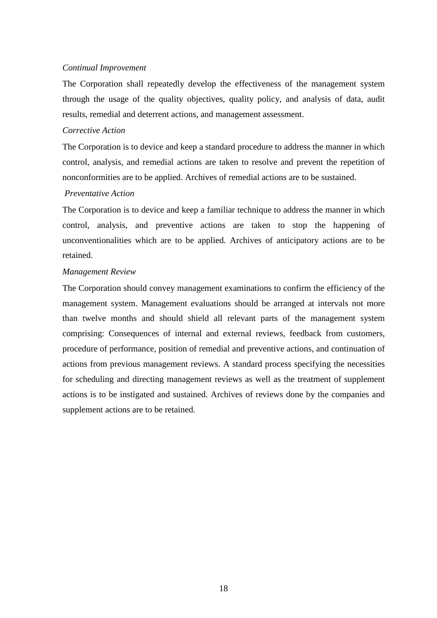## *Continual Improvement*

The Corporation shall repeatedly develop the effectiveness of the management system through the usage of the quality objectives, quality policy, and analysis of data, audit results, remedial and deterrent actions, and management assessment.

## *Corrective Action*

The Corporation is to device and keep a standard procedure to address the manner in which control, analysis, and remedial actions are taken to resolve and prevent the repetition of nonconformities are to be applied. Archives of remedial actions are to be sustained.

## *Preventative Action*

The Corporation is to device and keep a familiar technique to address the manner in which control, analysis, and preventive actions are taken to stop the happening of unconventionalities which are to be applied. Archives of anticipatory actions are to be retained.

## *Management Review*

The Corporation should convey management examinations to confirm the efficiency of the management system. Management evaluations should be arranged at intervals not more than twelve months and should shield all relevant parts of the management system comprising: Consequences of internal and external reviews, feedback from customers, procedure of performance, position of remedial and preventive actions, and continuation of actions from previous management reviews. A standard process specifying the necessities for scheduling and directing management reviews as well as the treatment of supplement actions is to be instigated and sustained. Archives of reviews done by the companies and supplement actions are to be retained.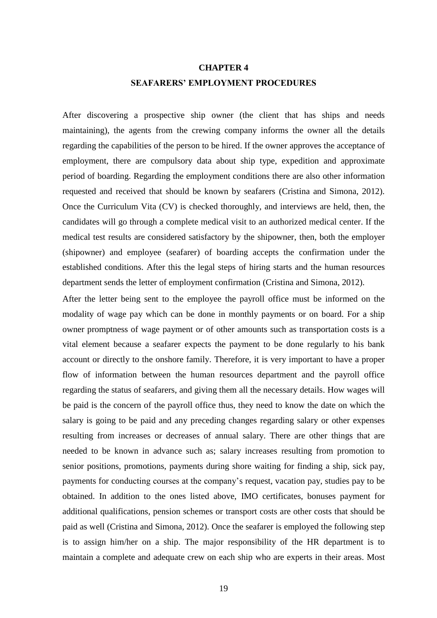# **CHAPTER 4 SEAFARERS' EMPLOYMENT PROCEDURES**

After discovering a prospective ship owner (the client that has ships and needs maintaining), the agents from the crewing company informs the owner all the details regarding the capabilities of the person to be hired. If the owner approves the acceptance of employment, there are compulsory data about ship type, expedition and approximate period of boarding. Regarding the employment conditions there are also other information requested and received that should be known by seafarers (Cristina and Simona, 2012). Once the Curriculum Vita (CV) is checked thoroughly, and interviews are held, then, the candidates will go through a complete medical visit to an authorized medical center. If the medical test results are considered satisfactory by the shipowner, then, both the employer (shipowner) and employee (seafarer) of boarding accepts the confirmation under the established conditions. After this the legal steps of hiring starts and the human resources department sends the letter of employment confirmation (Cristina and Simona, 2012).

After the letter being sent to the employee the payroll office must be informed on the modality of wage pay which can be done in monthly payments or on board. For a ship owner promptness of wage payment or of other amounts such as transportation costs is a vital element because a seafarer expects the payment to be done regularly to his bank account or directly to the onshore family. Therefore, it is very important to have a proper flow of information between the human resources department and the payroll office regarding the status of seafarers, and giving them all the necessary details. How wages will be paid is the concern of the payroll office thus, they need to know the date on which the salary is going to be paid and any preceding changes regarding salary or other expenses resulting from increases or decreases of annual salary. There are other things that are needed to be known in advance such as; salary increases resulting from promotion to senior positions, promotions, payments during shore waiting for finding a ship, sick pay, payments for conducting courses at the company's request, vacation pay, studies pay to be obtained. In addition to the ones listed above, IMO certificates, bonuses payment for additional qualifications, pension schemes or transport costs are other costs that should be paid as well (Cristina and Simona, 2012). Once the seafarer is employed the following step is to assign him/her on a ship. The major responsibility of the HR department is to maintain a complete and adequate crew on each ship who are experts in their areas. Most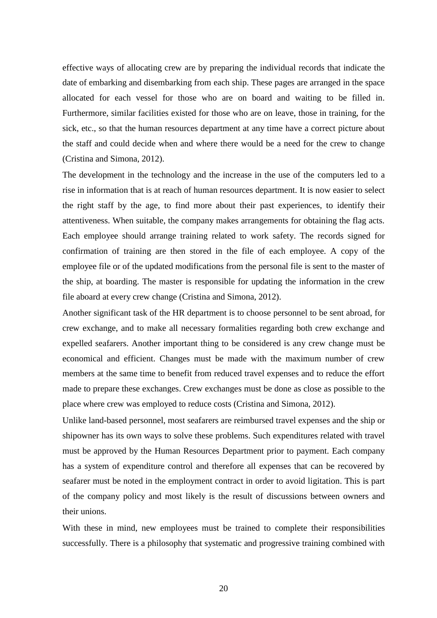effective ways of allocating crew are by preparing the individual records that indicate the date of embarking and disembarking from each ship. These pages are arranged in the space allocated for each vessel for those who are on board and waiting to be filled in. Furthermore, similar facilities existed for those who are on leave, those in training, for the sick, etc., so that the human resources department at any time have a correct picture about the staff and could decide when and where there would be a need for the crew to change (Cristina and Simona, 2012).

The development in the technology and the increase in the use of the computers led to a rise in information that is at reach of human resources department. It is now easier to select the right staff by the age, to find more about their past experiences, to identify their attentiveness. When suitable, the company makes arrangements for obtaining the flag acts. Each employee should arrange training related to work safety. The records signed for confirmation of training are then stored in the file of each employee. A copy of the employee file or of the updated modifications from the personal file is sent to the master of the ship, at boarding. The master is responsible for updating the information in the crew file aboard at every crew change (Cristina and Simona, 2012).

Another significant task of the HR department is to choose personnel to be sent abroad, for crew exchange, and to make all necessary formalities regarding both crew exchange and expelled seafarers. Another important thing to be considered is any crew change must be economical and efficient. Changes must be made with the maximum number of crew members at the same time to benefit from reduced travel expenses and to reduce the effort made to prepare these exchanges. Crew exchanges must be done as close as possible to the place where crew was employed to reduce costs (Cristina and Simona, 2012).

Unlike land-based personnel, most seafarers are reimbursed travel expenses and the ship or shipowner has its own ways to solve these problems. Such expenditures related with travel must be approved by the Human Resources Department prior to payment. Each company has a system of expenditure control and therefore all expenses that can be recovered by seafarer must be noted in the employment contract in order to avoid ligitation. This is part of the company policy and most likely is the result of discussions between owners and their unions.

With these in mind, new employees must be trained to complete their responsibilities successfully. There is a philosophy that systematic and progressive training combined with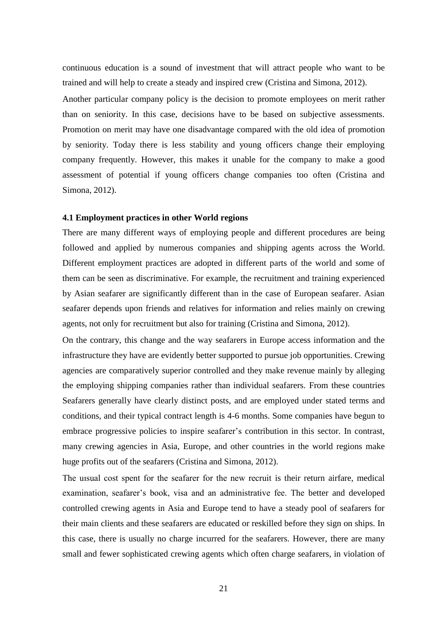continuous education is a sound of investment that will attract people who want to be trained and will help to create a steady and inspired crew (Cristina and Simona, 2012). Another particular company policy is the decision to promote employees on merit rather than on seniority. In this case, decisions have to be based on subjective assessments. Promotion on merit may have one disadvantage compared with the old idea of promotion by seniority. Today there is less stability and young officers change their employing company frequently. However, this makes it unable for the company to make a good assessment of potential if young officers change companies too often (Cristina and Simona, 2012).

#### **4.1 Employment practices in other World regions**

There are many different ways of employing people and different procedures are being followed and applied by numerous companies and shipping agents across the World. Different employment practices are adopted in different parts of the world and some of them can be seen as discriminative. For example, the recruitment and training experienced by Asian seafarer are significantly different than in the case of European seafarer. Asian seafarer depends upon friends and relatives for information and relies mainly on crewing agents, not only for recruitment but also for training (Cristina and Simona, 2012).

On the contrary, this change and the way seafarers in Europe access information and the infrastructure they have are evidently better supported to pursue job opportunities. Crewing agencies are comparatively superior controlled and they make revenue mainly by alleging the employing shipping companies rather than individual seafarers. From these countries Seafarers generally have clearly distinct posts, and are employed under stated terms and conditions, and their typical contract length is 4-6 months. Some companies have begun to embrace progressive policies to inspire seafarer's contribution in this sector. In contrast, many crewing agencies in Asia, Europe, and other countries in the world regions make huge profits out of the seafarers (Cristina and Simona, 2012).

The uısual cost spent for the seafarer for the new recruit is their return airfare, medical examination, seafarer's book, visa and an administrative fee. The better and developed controlled crewing agents in Asia and Europe tend to have a steady pool of seafarers for their main clients and these seafarers are educated or reskilled before they sign on ships. In this case, there is usually no charge incurred for the seafarers. However, there are many small and fewer sophisticated crewing agents which often charge seafarers, in violation of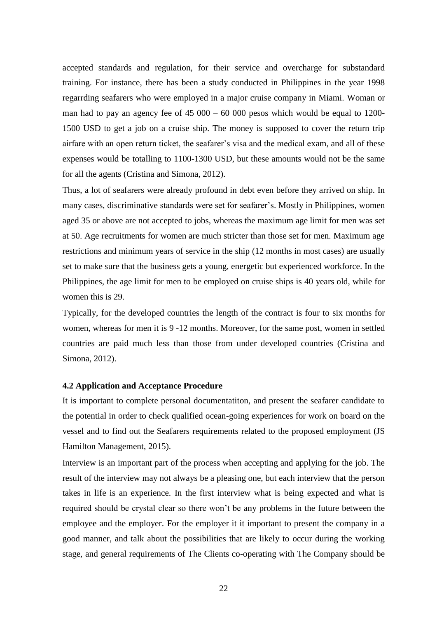accepted standards and regulation, for their service and overcharge for substandard training. For instance, there has been a study conducted in Philippines in the year 1998 regarrding seafarers who were employed in a major cruise company in Miami. Woman or man had to pay an agency fee of  $45\,000 - 60\,000$  pesos which would be equal to 1200-1500 USD to get a job on a cruise ship. The money is supposed to cover the return trip airfare with an open return ticket, the seafarer's visa and the medical exam, and all of these expenses would be totalling to 1100-1300 USD, but these amounts would not be the same for all the agents (Cristina and Simona, 2012).

Thus, a lot of seafarers were already profound in debt even before they arrived on ship. In many cases, discriminative standards were set for seafarer's. Mostly in Philippines, women aged 35 or above are not accepted to jobs, whereas the maximum age limit for men was set at 50. Age recruitments for women are much stricter than those set for men. Maximum age restrictions and minimum years of service in the ship (12 months in most cases) are usually set to make sure that the business gets a young, energetic but experienced workforce. In the Philippines, the age limit for men to be employed on cruise ships is 40 years old, while for women this is 29.

Typically, for the developed countries the length of the contract is four to six months for women, whereas for men it is 9 -12 months. Moreover, for the same post, women in settled countries are paid much less than those from under developed countries (Cristina and Simona, 2012).

### **4.2 Application and Acceptance Procedure**

It is important to complete personal documentatiton, and present the seafarer candidate to the potential in order to check qualified ocean-going experiences for work on board on the vessel and to find out the Seafarers requirements related to the proposed employment (JS Hamilton Management, 2015).

Interview is an important part of the process when accepting and applying for the job. The result of the interview may not always be a pleasing one, but each interview that the person takes in life is an experience. In the first interview what is being expected and what is required should be crystal clear so there won't be any problems in the future between the employee and the employer. For the employer it it important to present the company in a good manner, and talk about the possibilities that are likely to occur during the working stage, and general requirements of The Clients co-operating with The Company should be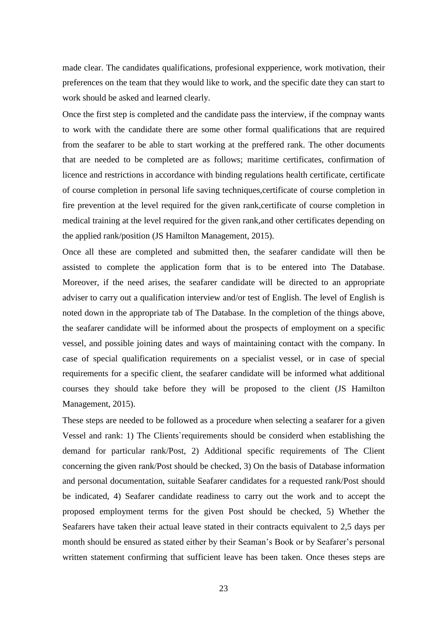made clear. The candidates qualifications, profesional expperience, work motivation, their preferences on the team that they would like to work, and the specific date they can start to work should be asked and learned clearly.

Once the first step is completed and the candidate pass the interview, if the compnay wants to work with the candidate there are some other formal qualifications that are required from the seafarer to be able to start working at the preffered rank. The other documents that are needed to be completed are as follows; maritime certificates, confirmation of licence and restrictions in accordance with binding regulations health certificate, certificate of course completion in personal life saving techniques,certificate of course completion in fire prevention at the level required for the given rank,certificate of course completion in medical training at the level required for the given rank,and other certificates depending on the applied rank/position (JS Hamilton Management, 2015).

Once all these are completed and submitted then, the seafarer candidate will then be assisted to complete the application form that is to be entered into The Database. Moreover, if the need arises, the seafarer candidate will be directed to an appropriate adviser to carry out a qualification interview and/or test of English. The level of English is noted down in the appropriate tab of The Database. In the completion of the things above, the seafarer candidate will be informed about the prospects of employment on a specific vessel, and possible joining dates and ways of maintaining contact with the company. In case of special qualification requirements on a specialist vessel, or in case of special requirements for a specific client, the seafarer candidate will be informed what additional courses they should take before they will be proposed to the client (JS Hamilton Management, 2015).

These steps are needed to be followed as a procedure when selecting a seafarer for a given Vessel and rank: 1) The Clients`requirements should be considerd when establishing the demand for particular rank/Post, 2) Additional specific requirements of The Client concerning the given rank/Post should be checked, 3) On the basis of Database information and personal documentation, suitable Seafarer candidates for a requested rank/Post should be indicated, 4) Seafarer candidate readiness to carry out the work and to accept the proposed employment terms for the given Post should be checked, 5) Whether the Seafarers have taken their actual leave stated in their contracts equivalent to 2,5 days per month should be ensured as stated either by their Seaman's Book or by Seafarer's personal written statement confirming that sufficient leave has been taken. Once theses steps are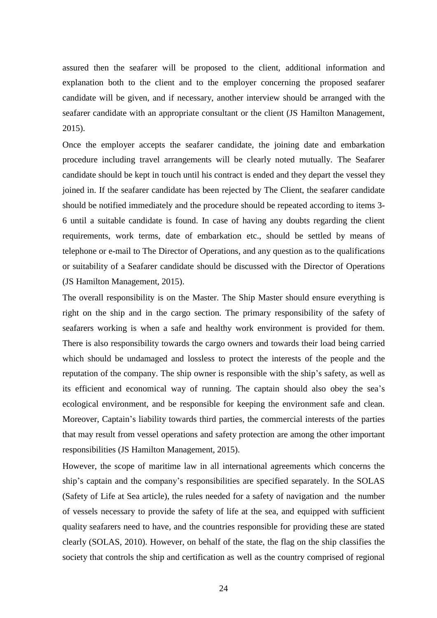assured then the seafarer will be proposed to the client, additional information and explanation both to the client and to the employer concerning the proposed seafarer candidate will be given, and if necessary, another interview should be arranged with the seafarer candidate with an appropriate consultant or the client (JS Hamilton Management, 2015).

Once the employer accepts the seafarer candidate, the joining date and embarkation procedure including travel arrangements will be clearly noted mutually. The Seafarer candidate should be kept in touch until his contract is ended and they depart the vessel they joined in. If the seafarer candidate has been rejected by The Client, the seafarer candidate should be notified immediately and the procedure should be repeated according to items 3- 6 until a suitable candidate is found. In case of having any doubts regarding the client requirements, work terms, date of embarkation etc., should be settled by means of telephone or e-mail to The Director of Operations, and any question as to the qualifications or suitability of a Seafarer candidate should be discussed with the Director of Operations (JS Hamilton Management, 2015).

The overall responsibility is on the Master. The Ship Master should ensure everything is right on the ship and in the cargo section. The primary responsibility of the safety of seafarers working is when a safe and healthy work environment is provided for them. There is also responsibility towards the cargo owners and towards their load being carried which should be undamaged and lossless to protect the interests of the people and the reputation of the company. The ship owner is responsible with the ship's safety, as well as its efficient and economical way of running. The captain should also obey the sea's ecological environment, and be responsible for keeping the environment safe and clean. Moreover, Captain's liability towards third parties, the commercial interests of the parties that may result from vessel operations and safety protection are among the other important responsibilities (JS Hamilton Management, 2015).

However, the scope of maritime law in all international agreements which concerns the ship's captain and the company's responsibilities are specified separately. In the SOLAS (Safety of Life at Sea article), the rules needed for a safety of navigation and the number of vessels necessary to provide the safety of life at the sea, and equipped with sufficient quality seafarers need to have, and the countries responsible for providing these are stated clearly (SOLAS, 2010). However, on behalf of the state, the flag on the ship classifies the society that controls the ship and certification as well as the country comprised of regional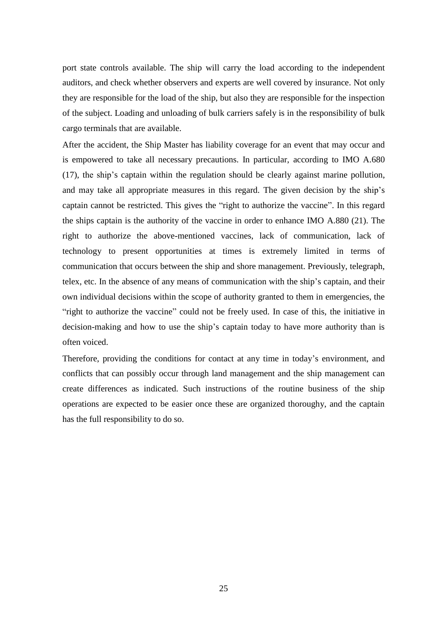port state controls available. The ship will carry the load according to the independent auditors, and check whether observers and experts are well covered by insurance. Not only they are responsible for the load of the ship, but also they are responsible for the inspection of the subject. Loading and unloading of bulk carriers safely is in the responsibility of bulk cargo terminals that are available.

After the accident, the Ship Master has liability coverage for an event that may occur and is empowered to take all necessary precautions. In particular, according to IMO A.680 (17), the ship's captain within the regulation should be clearly against marine pollution, and may take all appropriate measures in this regard. The given decision by the ship's captain cannot be restricted. This gives the "right to authorize the vaccine". In this regard the ships captain is the authority of the vaccine in order to enhance IMO A.880 (21). The right to authorize the above-mentioned vaccines, lack of communication, lack of technology to present opportunities at times is extremely limited in terms of communication that occurs between the ship and shore management. Previously, telegraph, telex, etc. In the absence of any means of communication with the ship's captain, and their own individual decisions within the scope of authority granted to them in emergencies, the "right to authorize the vaccine" could not be freely used. In case of this, the initiative in decision-making and how to use the ship's captain today to have more authority than is often voiced.

Therefore, providing the conditions for contact at any time in today's environment, and conflicts that can possibly occur through land management and the ship management can create differences as indicated. Such instructions of the routine business of the ship operations are expected to be easier once these are organized thoroughy, and the captain has the full responsibility to do so.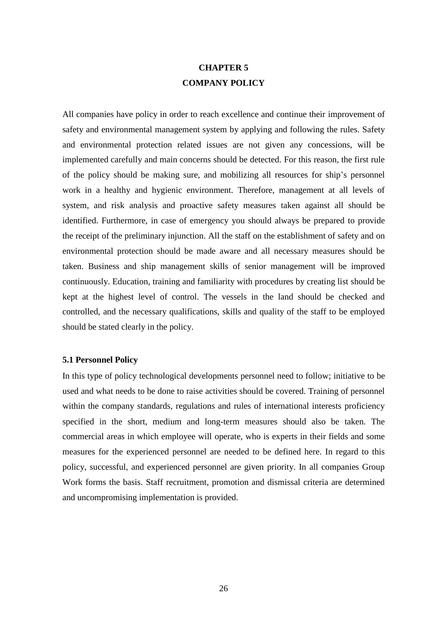# **CHAPTER 5 COMPANY POLICY**

All companies have policy in order to reach excellence and continue their improvement of safety and environmental management system by applying and following the rules. Safety and environmental protection related issues are not given any concessions, will be implemented carefully and main concerns should be detected. For this reason, the first rule of the policy should be making sure, and mobilizing all resources for ship's personnel work in a healthy and hygienic environment. Therefore, management at all levels of system, and risk analysis and proactive safety measures taken against all should be identified. Furthermore, in case of emergency you should always be prepared to provide the receipt of the preliminary injunction. All the staff on the establishment of safety and on environmental protection should be made aware and all necessary measures should be taken. Business and ship management skills of senior management will be improved continuously. Education, training and familiarity with procedures by creating list should be kept at the highest level of control. The vessels in the land should be checked and controlled, and the necessary qualifications, skills and quality of the staff to be employed should be stated clearly in the policy.

#### **5.1 Personnel Policy**

In this type of policy technological developments personnel need to follow; initiative to be used and what needs to be done to raise activities should be covered. Training of personnel within the company standards, regulations and rules of international interests proficiency specified in the short, medium and long-term measures should also be taken. The commercial areas in which employee will operate, who is experts in their fields and some measures for the experienced personnel are needed to be defined here. In regard to this policy, successful, and experienced personnel are given priority. In all companies Group Work forms the basis. Staff recruitment, promotion and dismissal criteria are determined and uncompromising implementation is provided.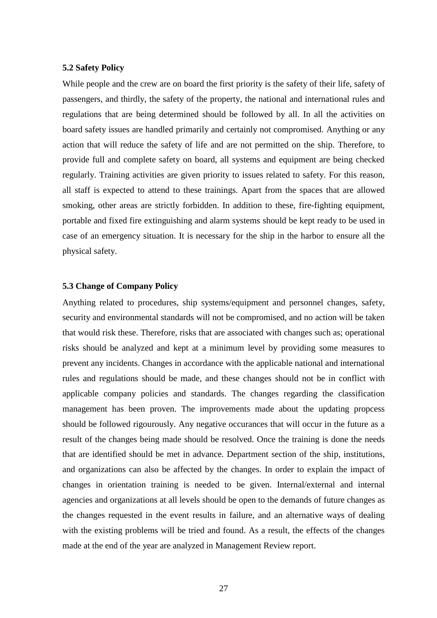### **5.2 Safety Policy**

While people and the crew are on board the first priority is the safety of their life, safety of passengers, and thirdly, the safety of the property, the national and international rules and regulations that are being determined should be followed by all. In all the activities on board safety issues are handled primarily and certainly not compromised. Anything or any action that will reduce the safety of life and are not permitted on the ship. Therefore, to provide full and complete safety on board, all systems and equipment are being checked regularly. Training activities are given priority to issues related to safety. For this reason, all staff is expected to attend to these trainings. Apart from the spaces that are allowed smoking, other areas are strictly forbidden. In addition to these, fire-fighting equipment, portable and fixed fire extinguishing and alarm systems should be kept ready to be used in case of an emergency situation. It is necessary for the ship in the harbor to ensure all the physical safety.

### **5.3 Change of Company Policy**

Anything related to procedures, ship systems/equipment and personnel changes, safety, security and environmental standards will not be compromised, and no action will be taken that would risk these. Therefore, risks that are associated with changes such as; operational risks should be analyzed and kept at a minimum level by providing some measures to prevent any incidents. Changes in accordance with the applicable national and international rules and regulations should be made, and these changes should not be in conflict with applicable company policies and standards. The changes regarding the classification management has been proven. The improvements made about the updating propcess should be followed rigourously. Any negative occurances that will occur in the future as a result of the changes being made should be resolved. Once the training is done the needs that are identified should be met in advance. Department section of the ship, institutions, and organizations can also be affected by the changes. In order to explain the impact of changes in orientation training is needed to be given. Internal/external and internal agencies and organizations at all levels should be open to the demands of future changes as the changes requested in the event results in failure, and an alternative ways of dealing with the existing problems will be tried and found. As a result, the effects of the changes made at the end of the year are analyzed in Management Review report.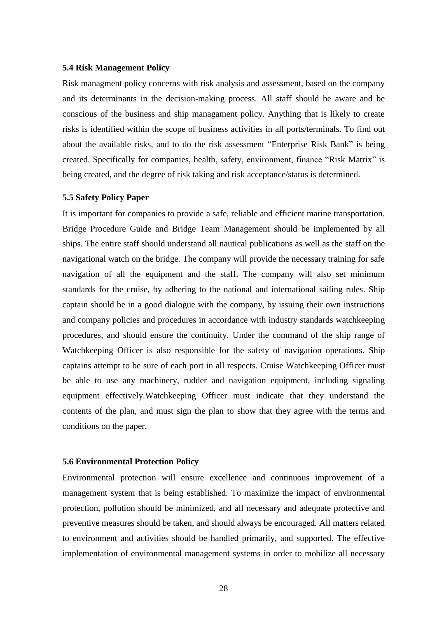#### **5.4 Risk Management Policy**

Risk managment policy concerns with risk analysis and assessment, based on the company and its determinants in the decision-making process. All staff should be aware and be conscious of the business and ship managament policy. Anything that is likely to create risks is identified within the scope of business activities in all ports/terminals. To find out about the available risks, and to do the risk assessment "Enterprise Risk Bank" is being created. Specifically for companies, health, safety, environment, finance "Risk Matrix" is being created, and the degree of risk taking and risk acceptance/status is determined.

#### **5.5 Safety Policy Paper**

It is important for companies to provide a safe, reliable and efficient marine transportation. Bridge Procedure Guide and Bridge Team Management should be implemented by all ships. The entire staff should understand all nautical publications as well as the staff on the navigational watch on the bridge. The company will provide the necessary training for safe navigation of all the equipment and the staff. The company will also set minimum standards for the cruise, by adhering to the national and international sailing rules. Ship captain should be in a good dialogue with the company, by issuing their own instructions and company policies and procedures in accordance with industry standards watchkeeping procedures, and should ensure the continuity. Under the command of the ship range of Watchkeeping Officer is also responsible for the safety of navigation operations. Ship captains attempt to be sure of each port in all respects. Cruise Watchkeeping Officer must be able to use any machinery, rudder and navigation equipment, including signaling equipment effectively.Watchkeeping Officer must indicate that they understand the contents of the plan, and must sign the plan to show that they agree with the terms and conditions on the paper.

#### **5.6 Environmental Protection Policy**

Environmental protection will ensure excellence and continuous improvement of a management system that is being established. To maximize the impact of environmental protection, pollution should be minimized, and all necessary and adequate protective and preventive measures should be taken, and should always be encouraged. All matters related to environment and activities should be handled primarily, and supported. The effective implementation of environmental management systems in order to mobilize all necessary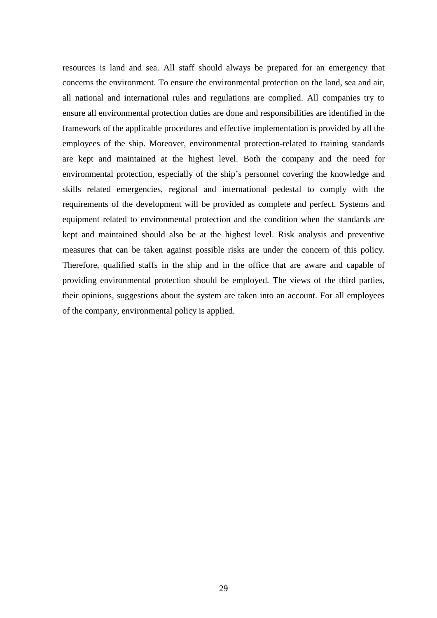resources is land and sea. All staff should always be prepared for an emergency that concerns the environment. To ensure the environmental protection on the land, sea and air, all national and international rules and regulations are complied. All companies try to ensure all environmental protection duties are done and responsibilities are identified in the framework of the applicable procedures and effective implementation is provided by all the employees of the ship. Moreover, environmental protection-related to training standards are kept and maintained at the highest level. Both the company and the need for environmental protection, especially of the ship's personnel covering the knowledge and skills related emergencies, regional and international pedestal to comply with the requirements of the development will be provided as complete and perfect. Systems and equipment related to environmental protection and the condition when the standards are kept and maintained should also be at the highest level. Risk analysis and preventive measures that can be taken against possible risks are under the concern of this policy. Therefore, qualified staffs in the ship and in the office that are aware and capable of providing environmental protection should be employed. The views of the third parties, their opinions, suggestions about the system are taken into an account. For all employees of the company, environmental policy is applied.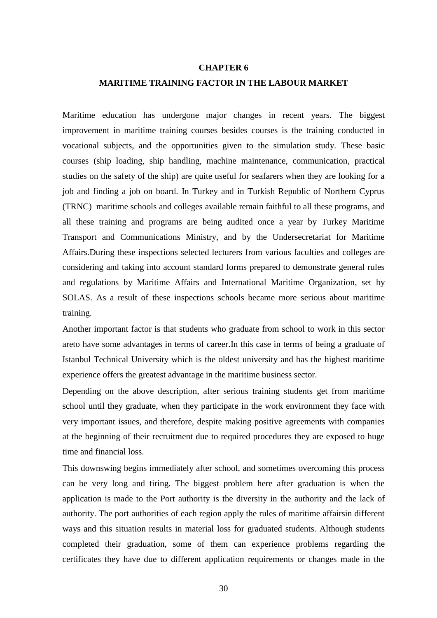## **CHAPTER 6**

#### **MARITIME TRAINING FACTOR IN THE LABOUR MARKET**

Maritime education has undergone major changes in recent years. The biggest improvement in maritime training courses besides courses is the training conducted in vocational subjects, and the opportunities given to the simulation study. These basic courses (ship loading, ship handling, machine maintenance, communication, practical studies on the safety of the ship) are quite useful for seafarers when they are looking for a job and finding a job on board. In Turkey and in Turkish Republic of Northern Cyprus (TRNC) maritime schools and colleges available remain faithful to all these programs, and all these training and programs are being audited once a year by Turkey Maritime Transport and Communications Ministry, and by the Undersecretariat for Maritime Affairs.During these inspections selected lecturers from various faculties and colleges are considering and taking into account standard forms prepared to demonstrate general rules and regulations by Maritime Affairs and International Maritime Organization, set by SOLAS. As a result of these inspections schools became more serious about maritime training.

Another important factor is that students who graduate from school to work in this sector areto have some advantages in terms of career.In this case in terms of being a graduate of Istanbul Technical University which is the oldest university and has the highest maritime experience offers the greatest advantage in the maritime business sector.

Depending on the above description, after serious training students get from maritime school until they graduate, when they participate in the work environment they face with very important issues, and therefore, despite making positive agreements with companies at the beginning of their recruitment due to required procedures they are exposed to huge time and financial loss.

This downswing begins immediately after school, and sometimes overcoming this process can be very long and tiring. The biggest problem here after graduation is when the application is made to the Port authority is the diversity in the authority and the lack of authority. The port authorities of each region apply the rules of maritime affairsin different ways and this situation results in material loss for graduated students. Although students completed their graduation, some of them can experience problems regarding the certificates they have due to different application requirements or changes made in the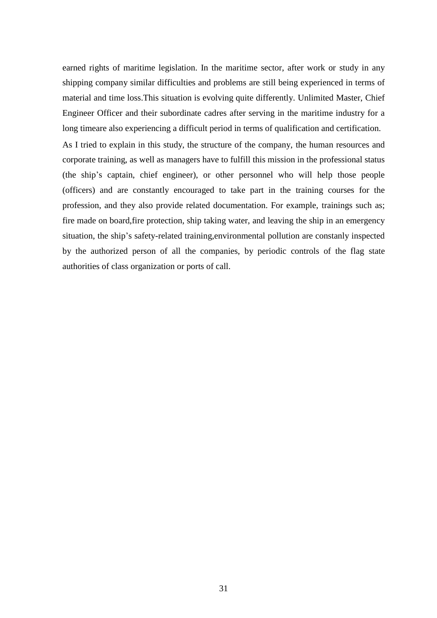earned rights of maritime legislation. In the maritime sector, after work or study in any shipping company similar difficulties and problems are still being experienced in terms of material and time loss.This situation is evolving quite differently. Unlimited Master, Chief Engineer Officer and their subordinate cadres after serving in the maritime industry for a long timeare also experiencing a difficult period in terms of qualification and certification.

As I tried to explain in this study, the structure of the company, the human resources and corporate training, as well as managers have to fulfill this mission in the professional status (the ship's captain, chief engineer), or other personnel who will help those people (officers) and are constantly encouraged to take part in the training courses for the profession, and they also provide related documentation. For example, trainings such as; fire made on board,fire protection, ship taking water, and leaving the ship in an emergency situation, the ship's safety-related training,environmental pollution are constanly inspected by the authorized person of all the companies, by periodic controls of the flag state authorities of class organization or ports of call.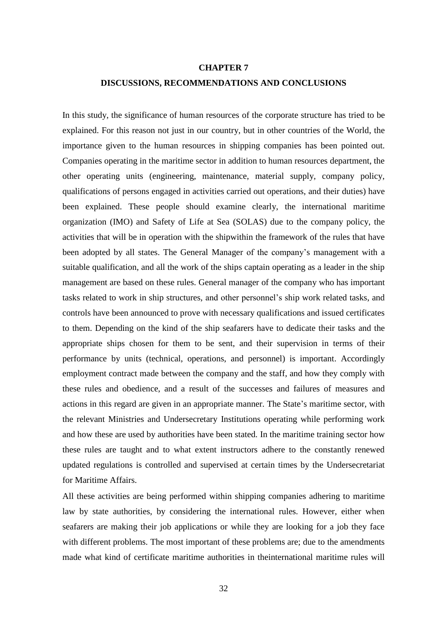#### **CHAPTER 7**

#### **DISCUSSIONS, RECOMMENDATIONS AND CONCLUSIONS**

In this study, the significance of human resources of the corporate structure has tried to be explained. For this reason not just in our country, but in other countries of the World, the importance given to the human resources in shipping companies has been pointed out. Companies operating in the maritime sector in addition to human resources department, the other operating units (engineering, maintenance, material supply, company policy, qualifications of persons engaged in activities carried out operations, and their duties) have been explained. These people should examine clearly, the international maritime organization (IMO) and Safety of Life at Sea (SOLAS) due to the company policy, the activities that will be in operation with the shipwithin the framework of the rules that have been adopted by all states. The General Manager of the company's management with a suitable qualification, and all the work of the ships captain operating as a leader in the ship management are based on these rules. General manager of the company who has important tasks related to work in ship structures, and other personnel's ship work related tasks, and controls have been announced to prove with necessary qualifications and issued certificates to them. Depending on the kind of the ship seafarers have to dedicate their tasks and the appropriate ships chosen for them to be sent, and their supervision in terms of their performance by units (technical, operations, and personnel) is important. Accordingly employment contract made between the company and the staff, and how they comply with these rules and obedience, and a result of the successes and failures of measures and actions in this regard are given in an appropriate manner. The State's maritime sector, with the relevant Ministries and Undersecretary Institutions operating while performing work and how these are used by authorities have been stated. In the maritime training sector how these rules are taught and to what extent instructors adhere to the constantly renewed updated regulations is controlled and supervised at certain times by the Undersecretariat for Maritime Affairs.

All these activities are being performed within shipping companies adhering to maritime law by state authorities, by considering the international rules. However, either when seafarers are making their job applications or while they are looking for a job they face with different problems. The most important of these problems are; due to the amendments made what kind of certificate maritime authorities in theinternational maritime rules will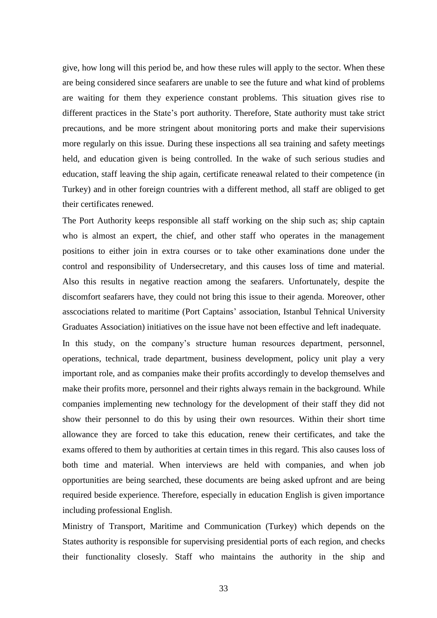give, how long will this period be, and how these rules will apply to the sector. When these are being considered since seafarers are unable to see the future and what kind of problems are waiting for them they experience constant problems. This situation gives rise to different practices in the State's port authority. Therefore, State authority must take strict precautions, and be more stringent about monitoring ports and make their supervisions more regularly on this issue. During these inspections all sea training and safety meetings held, and education given is being controlled. In the wake of such serious studies and education, staff leaving the ship again, certificate reneawal related to their competence (in Turkey) and in other foreign countries with a different method, all staff are obliged to get their certificates renewed.

The Port Authority keeps responsible all staff working on the ship such as; ship captain who is almost an expert, the chief, and other staff who operates in the management positions to either join in extra courses or to take other examinations done under the control and responsibility of Undersecretary, and this causes loss of time and material. Also this results in negative reaction among the seafarers. Unfortunately, despite the discomfort seafarers have, they could not bring this issue to their agenda. Moreover, other asscociations related to maritime (Port Captains' association, Istanbul Tehnical University Graduates Association) initiatives on the issue have not been effective and left inadequate.

In this study, on the company's structure human resources department, personnel, operations, technical, trade department, business development, policy unit play a very important role, and as companies make their profits accordingly to develop themselves and make their profits more, personnel and their rights always remain in the background. While companies implementing new technology for the development of their staff they did not show their personnel to do this by using their own resources. Within their short time allowance they are forced to take this education, renew their certificates, and take the exams offered to them by authorities at certain times in this regard. This also causes loss of both time and material. When interviews are held with companies, and when job opportunities are being searched, these documents are being asked upfront and are being required beside experience. Therefore, especially in education English is given importance including professional English.

Ministry of Transport, Maritime and Communication (Turkey) which depends on the States authority is responsible for supervising presidential ports of each region, and checks their functionality closesly. Staff who maintains the authority in the ship and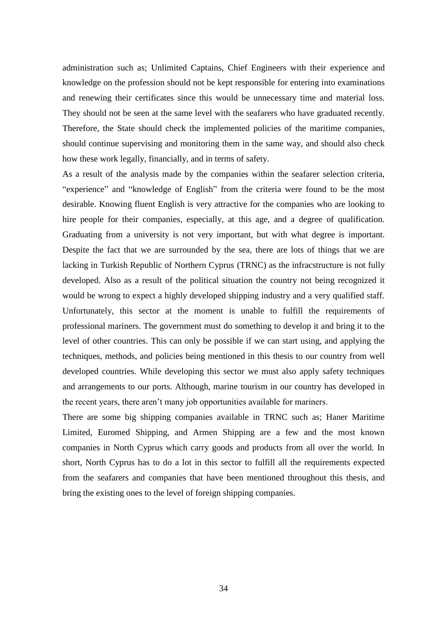administration such as; Unlimited Captains, Chief Engineers with their experience and knowledge on the profession should not be kept responsible for entering into examinations and renewing their certificates since this would be unnecessary time and material loss. They should not be seen at the same level with the seafarers who have graduated recently. Therefore, the State should check the implemented policies of the maritime companies, should continue supervising and monitoring them in the same way, and should also check how these work legally, financially, and in terms of safety.

As a result of the analysis made by the companies within the seafarer selection criteria, "experience" and "knowledge of English" from the criteria were found to be the most desirable. Knowing fluent English is very attractive for the companies who are looking to hire people for their companies, especially, at this age, and a degree of qualification. Graduating from a university is not very important, but with what degree is important. Despite the fact that we are surrounded by the sea, there are lots of things that we are lacking in Turkish Republic of Northern Cyprus (TRNC) as the infracstructure is not fully developed. Also as a result of the political situation the country not being recognized it would be wrong to expect a highly developed shipping industry and a very qualified staff. Unfortunately, this sector at the moment is unable to fulfill the requirements of professional mariners. The government must do something to develop it and bring it to the level of other countries. This can only be possible if we can start using, and applying the techniques, methods, and policies being mentioned in this thesis to our country from well developed countries. While developing this sector we must also apply safety techniques and arrangements to our ports. Although, marine tourism in our country has developed in the recent years, there aren't many job opportunities available for mariners.

There are some big shipping companies available in TRNC such as; Haner Maritime Limited, Euromed Shipping, and Armen Shipping are a few and the most known companies in North Cyprus which carry goods and products from all over the world. In short, North Cyprus has to do a lot in this sector to fulfill all the requirements expected from the seafarers and companies that have been mentioned throughout this thesis, and bring the existing ones to the level of foreign shipping companies.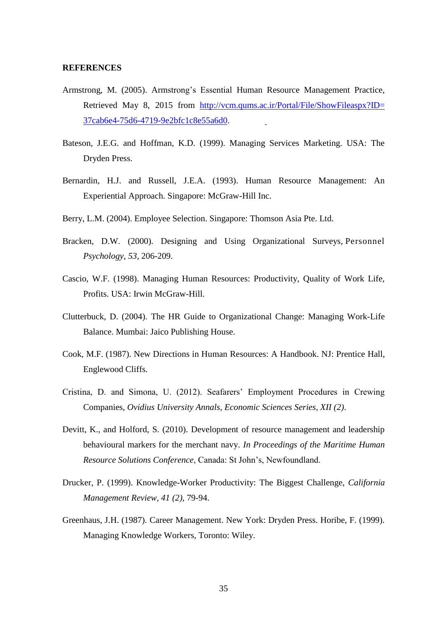#### **REFERENCES**

- Armstrong, M. (2005). Armstrong's Essential Human Resource Management Practice, Retrieved May 8, 2015 from [http://vcm.qums.ac.ir/Portal/File/ShowFileaspx?ID=](http://vcm.qums.ac.ir/Portal/File/ShowFileaspx?ID) 37cab6e4-75d6-4719-9e2bfc1c8e55a6d0.
- Bateson, J.E.G. and Hoffman, K.D. (1999). Managing Services Marketing. USA: The Dryden Press.
- Bernardin, H.J. and Russell, J.E.A. (1993). Human Resource Management: An Experiential Approach. Singapore: McGraw-Hill Inc.
- Berry, L.M. (2004). Employee Selection. Singapore: Thomson Asia Pte. Ltd.
- Bracken, D.W. (2000). Designing and Using Organizational Surveys, Personnel *Psychology*, *53*, 206-209.
- Cascio, W.F. (1998). Managing Human Resources: Productivity, Quality of Work Life, Profits. USA: Irwin McGraw-Hill.
- Clutterbuck, D. (2004). The HR Guide to Organizational Change: Managing Work-Life Balance. Mumbai: Jaico Publishing House.
- Cook, M.F. (1987). New Directions in Human Resources: A Handbook. NJ: Prentice Hall, Englewood Cliffs.
- Cristina, D. and Simona, U. (2012). Seafarers' Employment Procedures in Crewing Companies, *Ovidius University Annals, Economic Sciences Series, XII (2)*.
- Devitt, K., and Holford, S. (2010). Development of resource management and leadership behavioural markers for the merchant navy. *In Proceedings of the Maritime Human Resource Solutions Conference*, Canada: St John's, Newfoundland.
- Drucker, P. (1999). Knowledge-Worker Productivity: The Biggest Challenge, *California Management Review, 41 (2),* 79-94.
- Greenhaus, J.H. (1987). Career Management. New York: Dryden Press. Horibe, F. (1999). Managing Knowledge Workers, Toronto: Wiley.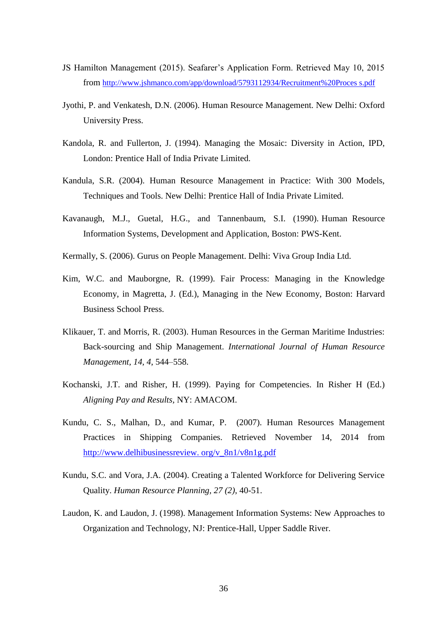- JS Hamilton Management (2015). Seafarer's Application Form. Retrieved May 10, 2015 from [http://www.jshmanco.com/app/download/5793112934/Recruitment%20Proces s.pdf](http://www.jshmanco.com/app/download/5793112934/Recruitment%20Proces%20s.pdf)
- Jyothi, P. and Venkatesh, D.N. (2006). Human Resource Management. New Delhi: Oxford University Press.
- Kandola, R. and Fullerton, J. (1994). Managing the Mosaic: Diversity in Action, IPD, London: Prentice Hall of India Private Limited.
- Kandula, S.R. (2004). Human Resource Management in Practice: With 300 Models, Techniques and Tools. New Delhi: Prentice Hall of India Private Limited.
- Kavanaugh, M.J., Guetal, H.G., and Tannenbaum, S.I. (1990). Human Resource Information Systems, Development and Application, Boston: PWS-Kent.
- Kermally, S. (2006). Gurus on People Management. Delhi: Viva Group India Ltd.
- Kim, W.C. and Mauborgne, R. (1999). Fair Process: Managing in the Knowledge Economy, in Magretta, J. (Ed.), Managing in the New Economy, Boston: Harvard Business School Press.
- Klikauer, T. and Morris, R. (2003). Human Resources in the German Maritime Industries: Back-sourcing and Ship Management. *International Journal of Human Resource Management, 14, 4*, 544–558.
- Kochanski, J.T. and Risher, H. (1999). Paying for Competencies. In Risher H (Ed.) *Aligning Pay and Results,* NY: AMACOM.
- Kundu, C. S., Malhan, D., and Kumar, P. (2007). Human Resources Management Practices in Shipping Companies. Retrieved November 14, 2014 from http://www.delhibusinessreview. org/v\_8n1/v8n1g.pdf
- Kundu, S.C. and Vora, J.A. (2004). Creating a Talented Workforce for Delivering Service Quality. *Human Resource Planning, 27 (2)*, 40-51.
- Laudon, K. and Laudon, J. (1998). Management Information Systems: New Approaches to Organization and Technology, NJ: Prentice-Hall, Upper Saddle River.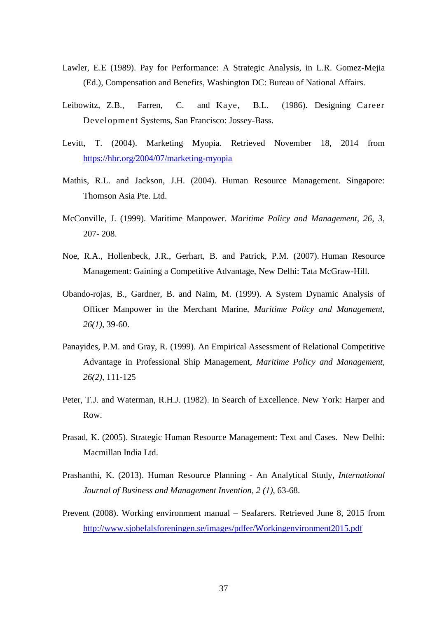- Lawler, E.E (1989). Pay for Performance: A Strategic Analysis, in L.R. Gomez-Mejia (Ed.), Compensation and Benefits, Washington DC: Bureau of National Affairs.
- Leibowitz, Z.B., Farren, C. and Kaye, B.L. (1986). Designing Career Development Systems, San Francisco: Jossey-Bass.
- Levitt, T. (2004). Marketing Myopia. Retrieved November 18, 2014 from <https://hbr.org/2004/07/marketing-myopia>
- Mathis, R.L. and Jackson, J.H. (2004). Human Resource Management. Singapore: Thomson Asia Pte. Ltd.
- McConville, J. (1999). Maritime Manpower. *Maritime Policy and Management, 26, 3*, 207- 208.
- Noe, R.A., Hollenbeck, J.R., Gerhart, B. and Patrick, P.M. (2007). Human Resource Management: Gaining a Competitive Advantage, New Delhi: Tata McGraw-Hill.
- Obando-rojas, B., Gardner, B. and Naim, M. (1999). A System Dynamic Analysis of Officer Manpower in the Merchant Marine, *Maritime Policy and Management, 26(1),* 39-60.
- Panayides, P.M. and Gray, R. (1999). An Empirical Assessment of Relational Competitive Advantage in Professional Ship Management, *Maritime Policy and Management, 26(2)*, 111-125
- Peter, T.J. and Waterman, R.H.J. (1982). In Search of Excellence. New York: Harper and Row.
- Prasad, K. (2005). Strategic Human Resource Management: Text and Cases. New Delhi: Macmillan India Ltd.
- Prashanthi, K. (2013). Human Resource Planning An Analytical Study, *International Journal of Business and Management Invention, 2 (1)*, 63-68.
- Prevent (2008). Working environment manual Seafarers. Retrieved June 8, 2015 from <http://www.sjobefalsforeningen.se/images/pdfer/Workingenvironment2015.pdf>